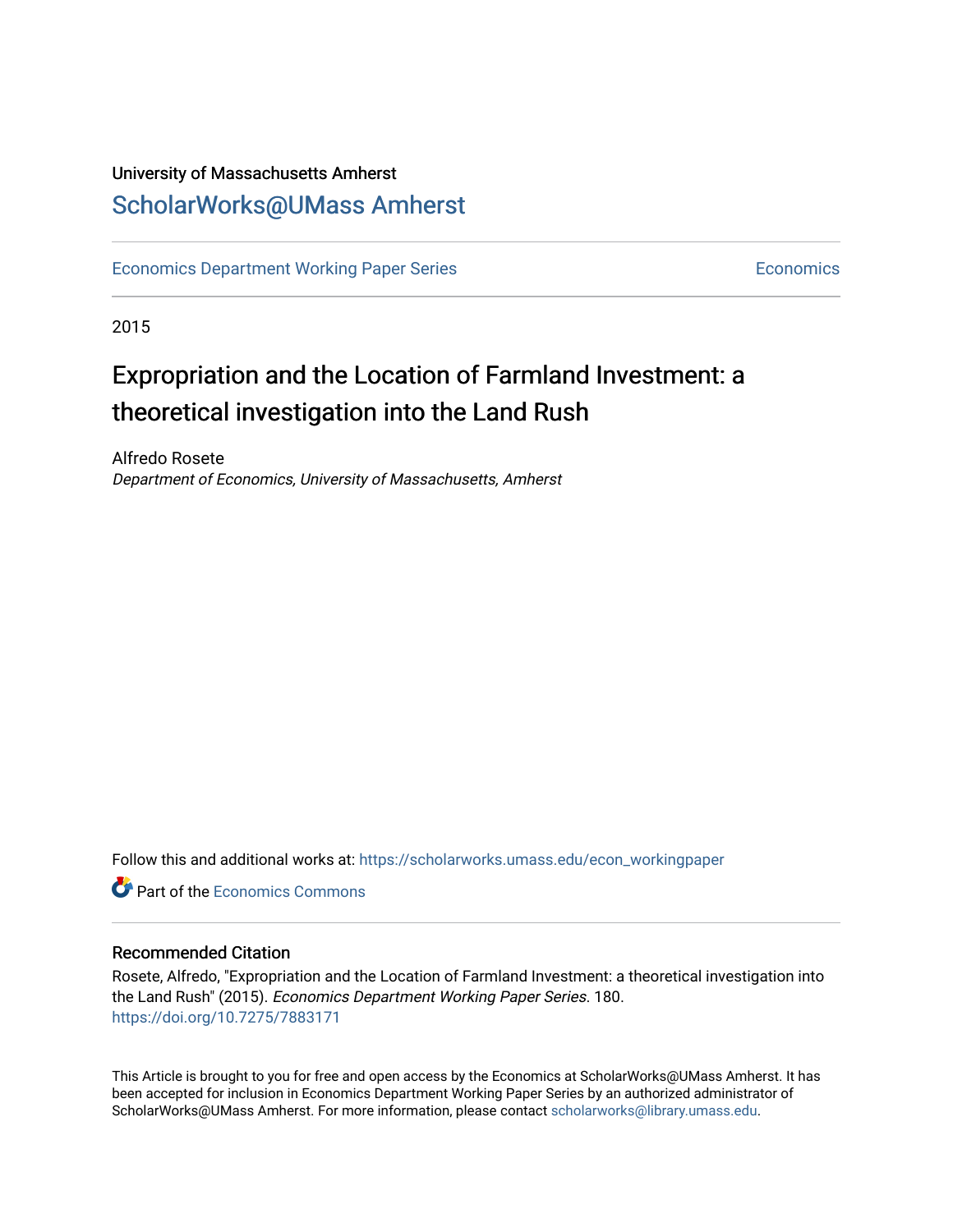# University of Massachusetts Amherst [ScholarWorks@UMass Amherst](https://scholarworks.umass.edu/)

[Economics Department Working Paper Series](https://scholarworks.umass.edu/econ_workingpaper) **Economics** [Economics](https://scholarworks.umass.edu/economics) Economics

2015

# Expropriation and the Location of Farmland Investment: a theoretical investigation into the Land Rush

Alfredo Rosete Department of Economics, University of Massachusetts, Amherst

Follow this and additional works at: [https://scholarworks.umass.edu/econ\\_workingpaper](https://scholarworks.umass.edu/econ_workingpaper?utm_source=scholarworks.umass.edu%2Fecon_workingpaper%2F180&utm_medium=PDF&utm_campaign=PDFCoverPages) 

**C** Part of the [Economics Commons](http://network.bepress.com/hgg/discipline/340?utm_source=scholarworks.umass.edu%2Fecon_workingpaper%2F180&utm_medium=PDF&utm_campaign=PDFCoverPages)

#### Recommended Citation

Rosete, Alfredo, "Expropriation and the Location of Farmland Investment: a theoretical investigation into the Land Rush" (2015). Economics Department Working Paper Series. 180. <https://doi.org/10.7275/7883171>

This Article is brought to you for free and open access by the Economics at ScholarWorks@UMass Amherst. It has been accepted for inclusion in Economics Department Working Paper Series by an authorized administrator of ScholarWorks@UMass Amherst. For more information, please contact [scholarworks@library.umass.edu.](mailto:scholarworks@library.umass.edu)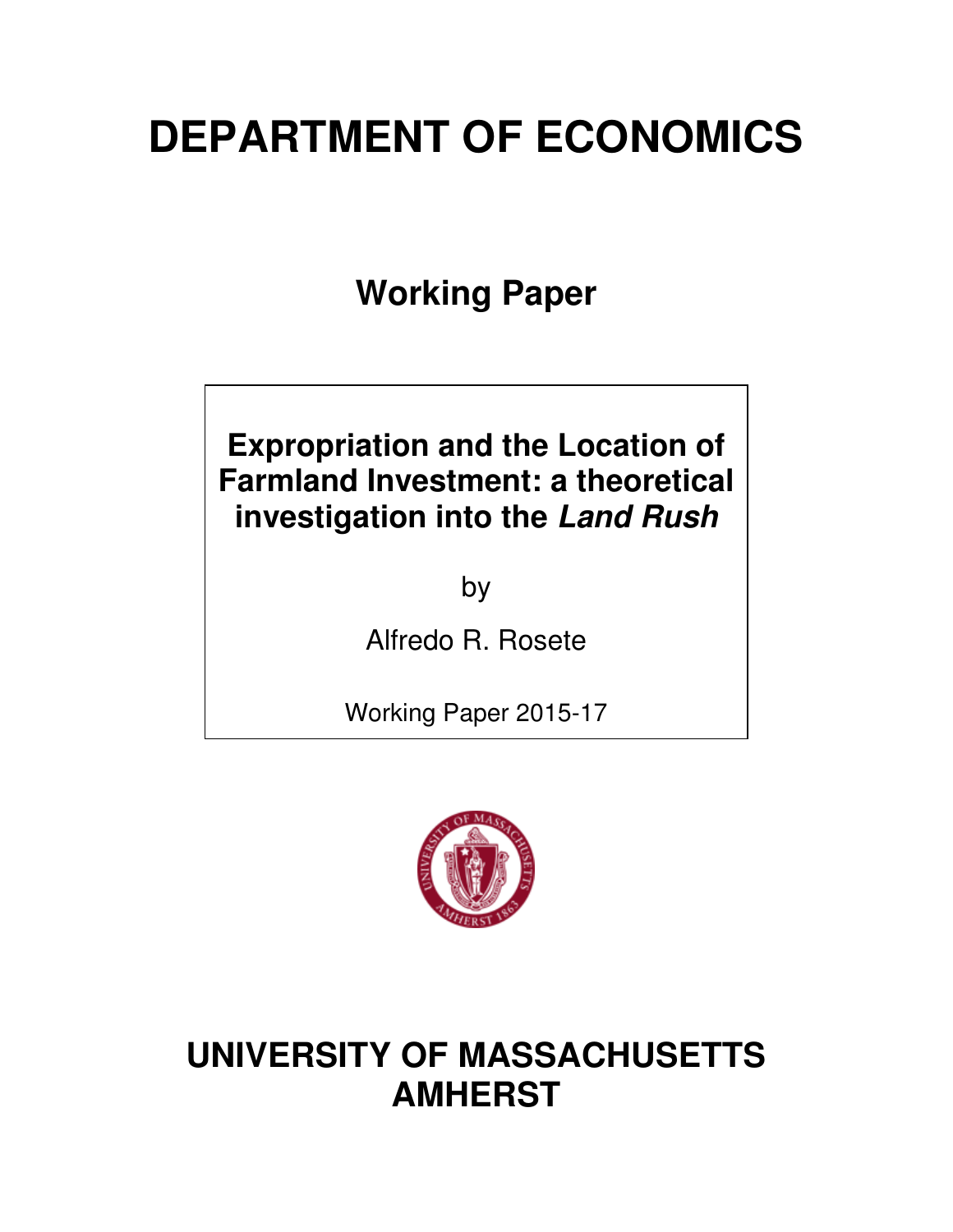# **DEPARTMENT OF ECONOMICS**

**Working Paper** 

# **Expropriation and the Location of Farmland Investment: a theoretical investigation into the** *Land Rush*

by

Alfredo R. Rosete

Working Paper 2015-17



# **UNIVERSITY OF MASSACHUSETTS AMHERST**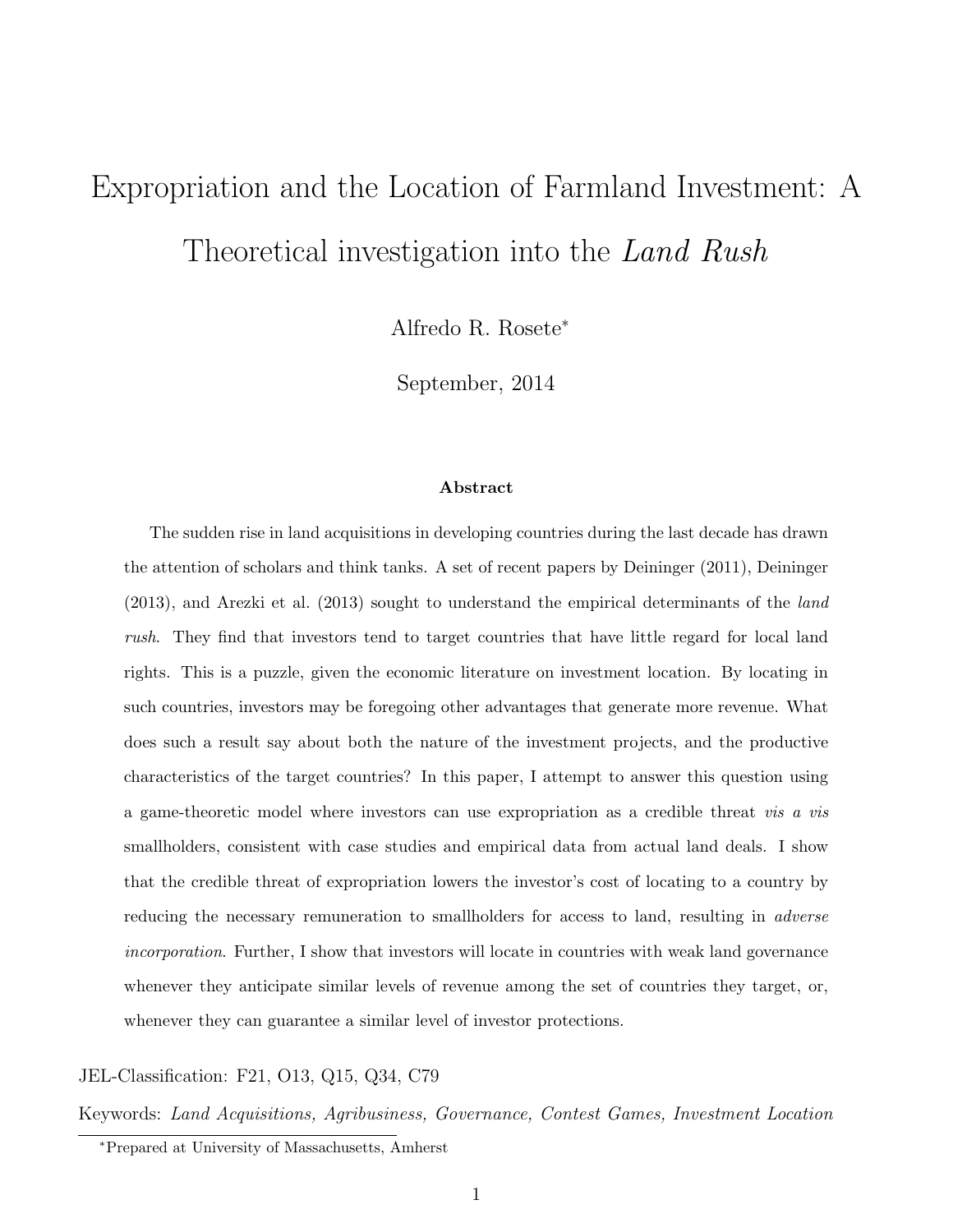# Expropriation and the Location of Farmland Investment: A Theoretical investigation into the Land Rush

Alfredo R. Rosete<sup>∗</sup>

September, 2014

#### Abstract

The sudden rise in land acquisitions in developing countries during the last decade has drawn the attention of scholars and think tanks. A set of recent papers by Deininger (2011), Deininger (2013), and Arezki et al. (2013) sought to understand the empirical determinants of the land rush. They find that investors tend to target countries that have little regard for local land rights. This is a puzzle, given the economic literature on investment location. By locating in such countries, investors may be foregoing other advantages that generate more revenue. What does such a result say about both the nature of the investment projects, and the productive characteristics of the target countries? In this paper, I attempt to answer this question using a game-theoretic model where investors can use expropriation as a credible threat vis a vis smallholders, consistent with case studies and empirical data from actual land deals. I show that the credible threat of expropriation lowers the investor's cost of locating to a country by reducing the necessary remuneration to smallholders for access to land, resulting in *adverse* incorporation. Further, I show that investors will locate in countries with weak land governance whenever they anticipate similar levels of revenue among the set of countries they target, or, whenever they can guarantee a similar level of investor protections.

#### JEL-Classification: F21, O13, Q15, Q34, C79

Keywords: Land Acquisitions, Agribusiness, Governance, Contest Games, Investment Location

<sup>∗</sup>Prepared at University of Massachusetts, Amherst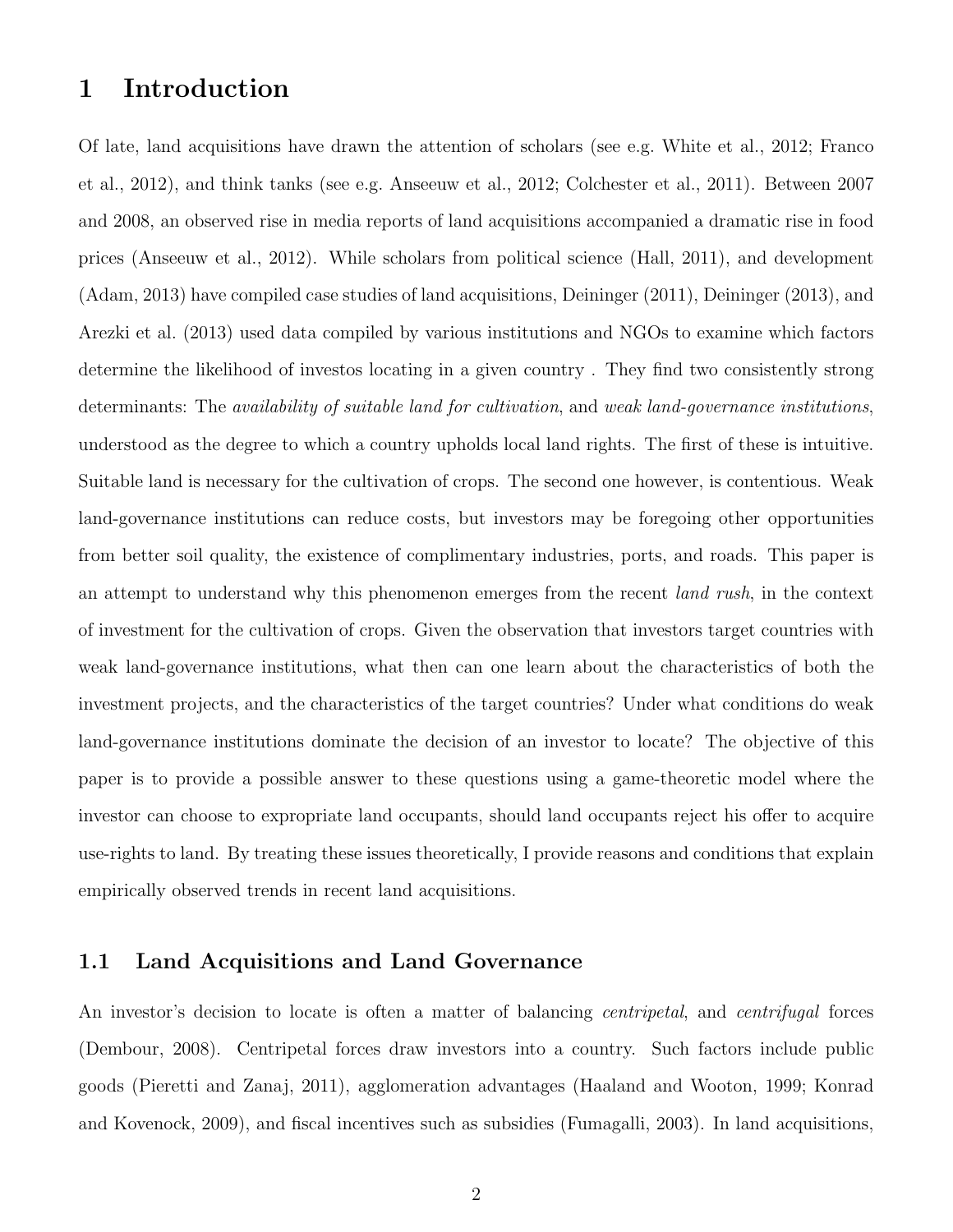### 1 Introduction

Of late, land acquisitions have drawn the attention of scholars (see e.g. White et al., 2012; Franco et al., 2012), and think tanks (see e.g. Anseeuw et al., 2012; Colchester et al., 2011). Between 2007 and 2008, an observed rise in media reports of land acquisitions accompanied a dramatic rise in food prices (Anseeuw et al., 2012). While scholars from political science (Hall, 2011), and development (Adam, 2013) have compiled case studies of land acquisitions, Deininger (2011), Deininger (2013), and Arezki et al. (2013) used data compiled by various institutions and NGOs to examine which factors determine the likelihood of investos locating in a given country . They find two consistently strong determinants: The *availability of suitable land for cultivation*, and *weak land-governance institutions*, understood as the degree to which a country upholds local land rights. The first of these is intuitive. Suitable land is necessary for the cultivation of crops. The second one however, is contentious. Weak land-governance institutions can reduce costs, but investors may be foregoing other opportunities from better soil quality, the existence of complimentary industries, ports, and roads. This paper is an attempt to understand why this phenomenon emerges from the recent *land rush*, in the context of investment for the cultivation of crops. Given the observation that investors target countries with weak land-governance institutions, what then can one learn about the characteristics of both the investment projects, and the characteristics of the target countries? Under what conditions do weak land-governance institutions dominate the decision of an investor to locate? The objective of this paper is to provide a possible answer to these questions using a game-theoretic model where the investor can choose to expropriate land occupants, should land occupants reject his offer to acquire use-rights to land. By treating these issues theoretically, I provide reasons and conditions that explain empirically observed trends in recent land acquisitions.

#### 1.1 Land Acquisitions and Land Governance

An investor's decision to locate is often a matter of balancing *centripetal*, and *centrifugal* forces (Dembour, 2008). Centripetal forces draw investors into a country. Such factors include public goods (Pieretti and Zanaj, 2011), agglomeration advantages (Haaland and Wooton, 1999; Konrad and Kovenock, 2009), and fiscal incentives such as subsidies (Fumagalli, 2003). In land acquisitions,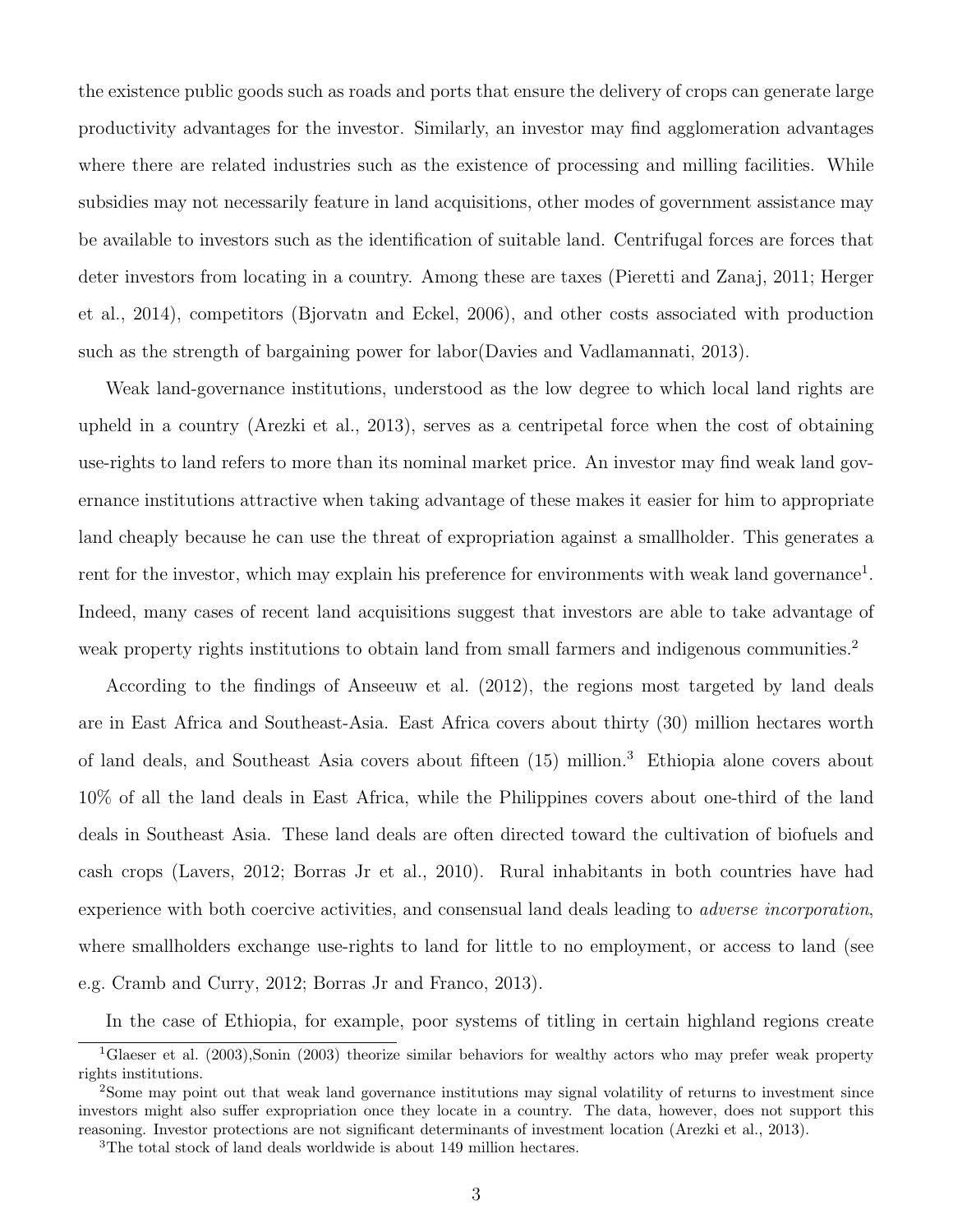the existence public goods such as roads and ports that ensure the delivery of crops can generate large productivity advantages for the investor. Similarly, an investor may find agglomeration advantages where there are related industries such as the existence of processing and milling facilities. While subsidies may not necessarily feature in land acquisitions, other modes of government assistance may be available to investors such as the identification of suitable land. Centrifugal forces are forces that deter investors from locating in a country. Among these are taxes (Pieretti and Zanaj, 2011; Herger et al., 2014), competitors (Bjorvatn and Eckel, 2006), and other costs associated with production such as the strength of bargaining power for labor(Davies and Vadlamannati, 2013).

Weak land-governance institutions, understood as the low degree to which local land rights are upheld in a country (Arezki et al., 2013), serves as a centripetal force when the cost of obtaining use-rights to land refers to more than its nominal market price. An investor may find weak land governance institutions attractive when taking advantage of these makes it easier for him to appropriate land cheaply because he can use the threat of expropriation against a smallholder. This generates a rent for the investor, which may explain his preference for environments with weak land governance<sup>1</sup>. Indeed, many cases of recent land acquisitions suggest that investors are able to take advantage of weak property rights institutions to obtain land from small farmers and indigenous communities.<sup>2</sup>

According to the findings of Anseeuw et al. (2012), the regions most targeted by land deals are in East Africa and Southeast-Asia. East Africa covers about thirty (30) million hectares worth of land deals, and Southeast Asia covers about fifteen (15) million.<sup>3</sup> Ethiopia alone covers about 10% of all the land deals in East Africa, while the Philippines covers about one-third of the land deals in Southeast Asia. These land deals are often directed toward the cultivation of biofuels and cash crops (Lavers, 2012; Borras Jr et al., 2010). Rural inhabitants in both countries have had experience with both coercive activities, and consensual land deals leading to adverse incorporation, where smallholders exchange use-rights to land for little to no employment, or access to land (see e.g. Cramb and Curry, 2012; Borras Jr and Franco, 2013).

In the case of Ethiopia, for example, poor systems of titling in certain highland regions create

<sup>1</sup>Glaeser et al. (2003),Sonin (2003) theorize similar behaviors for wealthy actors who may prefer weak property rights institutions.

<sup>2</sup>Some may point out that weak land governance institutions may signal volatility of returns to investment since investors might also suffer expropriation once they locate in a country. The data, however, does not support this reasoning. Investor protections are not significant determinants of investment location (Arezki et al., 2013).

<sup>3</sup>The total stock of land deals worldwide is about 149 million hectares.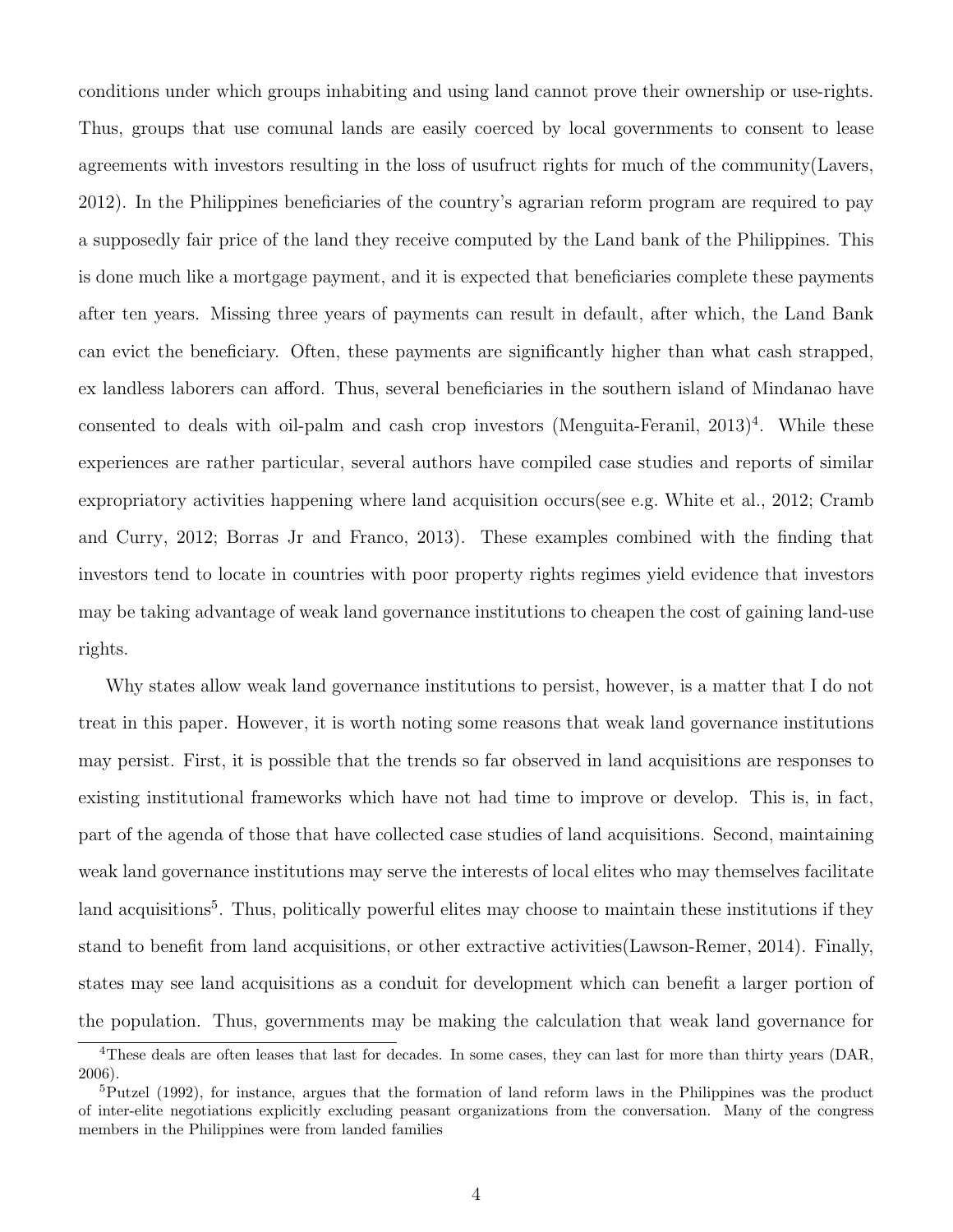conditions under which groups inhabiting and using land cannot prove their ownership or use-rights. Thus, groups that use comunal lands are easily coerced by local governments to consent to lease agreements with investors resulting in the loss of usufruct rights for much of the community(Lavers, 2012). In the Philippines beneficiaries of the country's agrarian reform program are required to pay a supposedly fair price of the land they receive computed by the Land bank of the Philippines. This is done much like a mortgage payment, and it is expected that beneficiaries complete these payments after ten years. Missing three years of payments can result in default, after which, the Land Bank can evict the beneficiary. Often, these payments are significantly higher than what cash strapped, ex landless laborers can afford. Thus, several beneficiaries in the southern island of Mindanao have consented to deals with oil-palm and cash crop investors (Menguita-Feranil,  $2013)^4$ . While these experiences are rather particular, several authors have compiled case studies and reports of similar expropriatory activities happening where land acquisition occurs(see e.g. White et al., 2012; Cramb and Curry, 2012; Borras Jr and Franco, 2013). These examples combined with the finding that investors tend to locate in countries with poor property rights regimes yield evidence that investors may be taking advantage of weak land governance institutions to cheapen the cost of gaining land-use rights.

Why states allow weak land governance institutions to persist, however, is a matter that I do not treat in this paper. However, it is worth noting some reasons that weak land governance institutions may persist. First, it is possible that the trends so far observed in land acquisitions are responses to existing institutional frameworks which have not had time to improve or develop. This is, in fact, part of the agenda of those that have collected case studies of land acquisitions. Second, maintaining weak land governance institutions may serve the interests of local elites who may themselves facilitate land acquisitions<sup>5</sup>. Thus, politically powerful elites may choose to maintain these institutions if they stand to benefit from land acquisitions, or other extractive activities(Lawson-Remer, 2014). Finally, states may see land acquisitions as a conduit for development which can benefit a larger portion of the population. Thus, governments may be making the calculation that weak land governance for

<sup>&</sup>lt;sup>4</sup>These deals are often leases that last for decades. In some cases, they can last for more than thirty years (DAR, 2006).

<sup>&</sup>lt;sup>5</sup>Putzel (1992), for instance, argues that the formation of land reform laws in the Philippines was the product of inter-elite negotiations explicitly excluding peasant organizations from the conversation. Many of the congress members in the Philippines were from landed families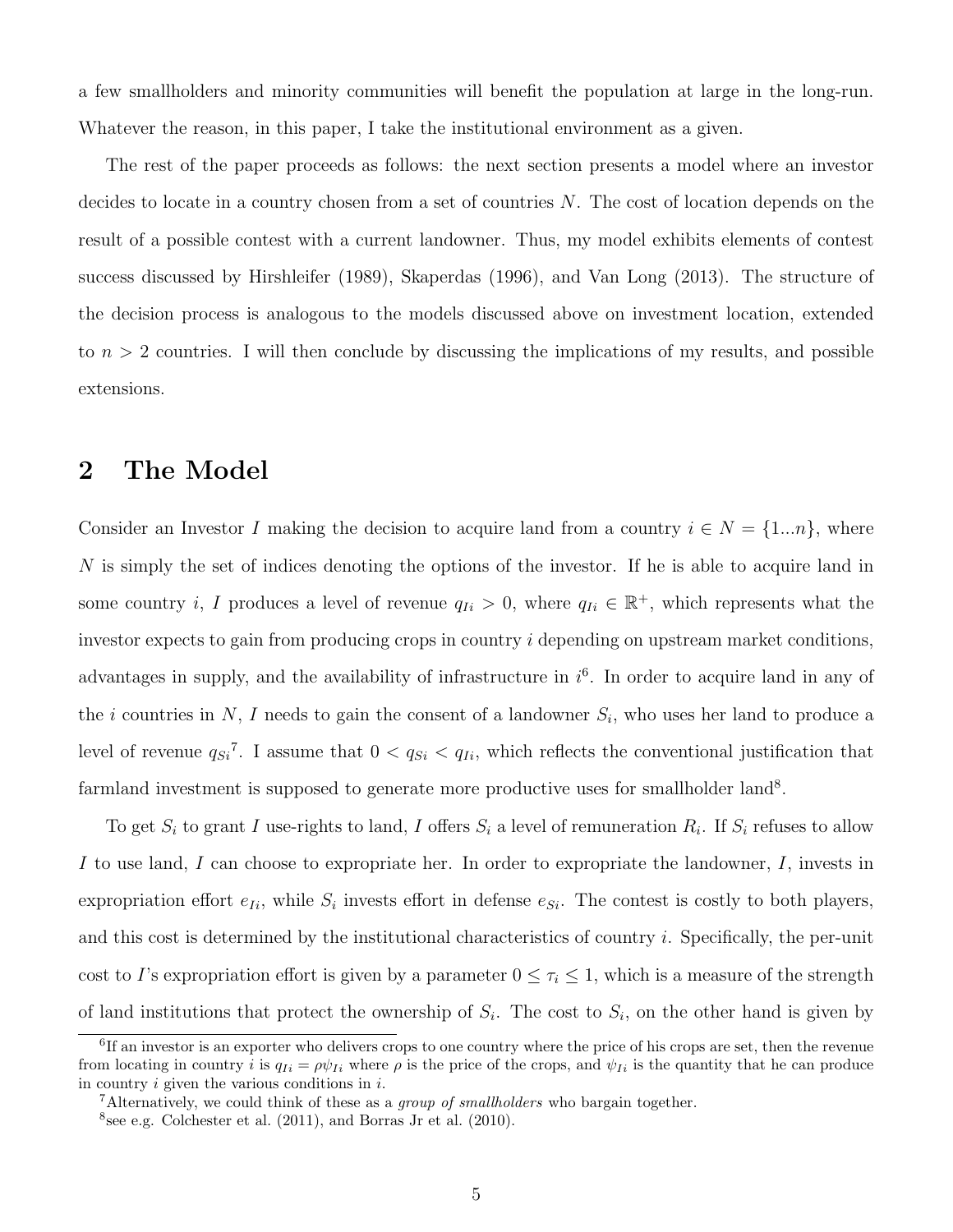a few smallholders and minority communities will benefit the population at large in the long-run. Whatever the reason, in this paper, I take the institutional environment as a given.

The rest of the paper proceeds as follows: the next section presents a model where an investor decides to locate in a country chosen from a set of countries N. The cost of location depends on the result of a possible contest with a current landowner. Thus, my model exhibits elements of contest success discussed by Hirshleifer (1989), Skaperdas (1996), and Van Long (2013). The structure of the decision process is analogous to the models discussed above on investment location, extended to  $n > 2$  countries. I will then conclude by discussing the implications of my results, and possible extensions.

### 2 The Model

Consider an Investor I making the decision to acquire land from a country  $i \in N = \{1...n\}$ , where N is simply the set of indices denoting the options of the investor. If he is able to acquire land in some country *i*, I produces a level of revenue  $q_{Ii} > 0$ , where  $q_{Ii} \in \mathbb{R}^+$ , which represents what the investor expects to gain from producing crops in country i depending on upstream market conditions, advantages in supply, and the availability of infrastructure in  $i<sup>6</sup>$ . In order to acquire land in any of the *i* countries in N, I needs to gain the consent of a landowner  $S_i$ , who uses her land to produce a level of revenue  $q_{Si}^7$ . I assume that  $0 < q_{Si} < q_{Ii}$ , which reflects the conventional justification that farmland investment is supposed to generate more productive uses for smallholder land<sup>8</sup>.

To get  $S_i$  to grant I use-rights to land, I offers  $S_i$  a level of remuneration  $R_i$ . If  $S_i$  refuses to allow I to use land, I can choose to expropriate her. In order to expropriate the landowner,  $I$ , invests in expropriation effort  $e_{Ii}$ , while  $S_i$  invests effort in defense  $e_{Si}$ . The contest is costly to both players, and this cost is determined by the institutional characteristics of country i. Specifically, the per-unit cost to I's expropriation effort is given by a parameter  $0 \leq \tau_i \leq 1$ , which is a measure of the strength of land institutions that protect the ownership of  $S_i$ . The cost to  $S_i$ , on the other hand is given by

<sup>&</sup>lt;sup>6</sup>If an investor is an exporter who delivers crops to one country where the price of his crops are set, then the revenue from locating in country i is  $q_{Ii} = \rho \psi_{Ii}$  where  $\rho$  is the price of the crops, and  $\psi_{Ii}$  is the quantity that he can produce in country  $i$  given the various conditions in  $i$ .

<sup>&</sup>lt;sup>7</sup>Alternatively, we could think of these as a *group of smallholders* who bargain together.

<sup>8</sup> see e.g. Colchester et al. (2011), and Borras Jr et al. (2010).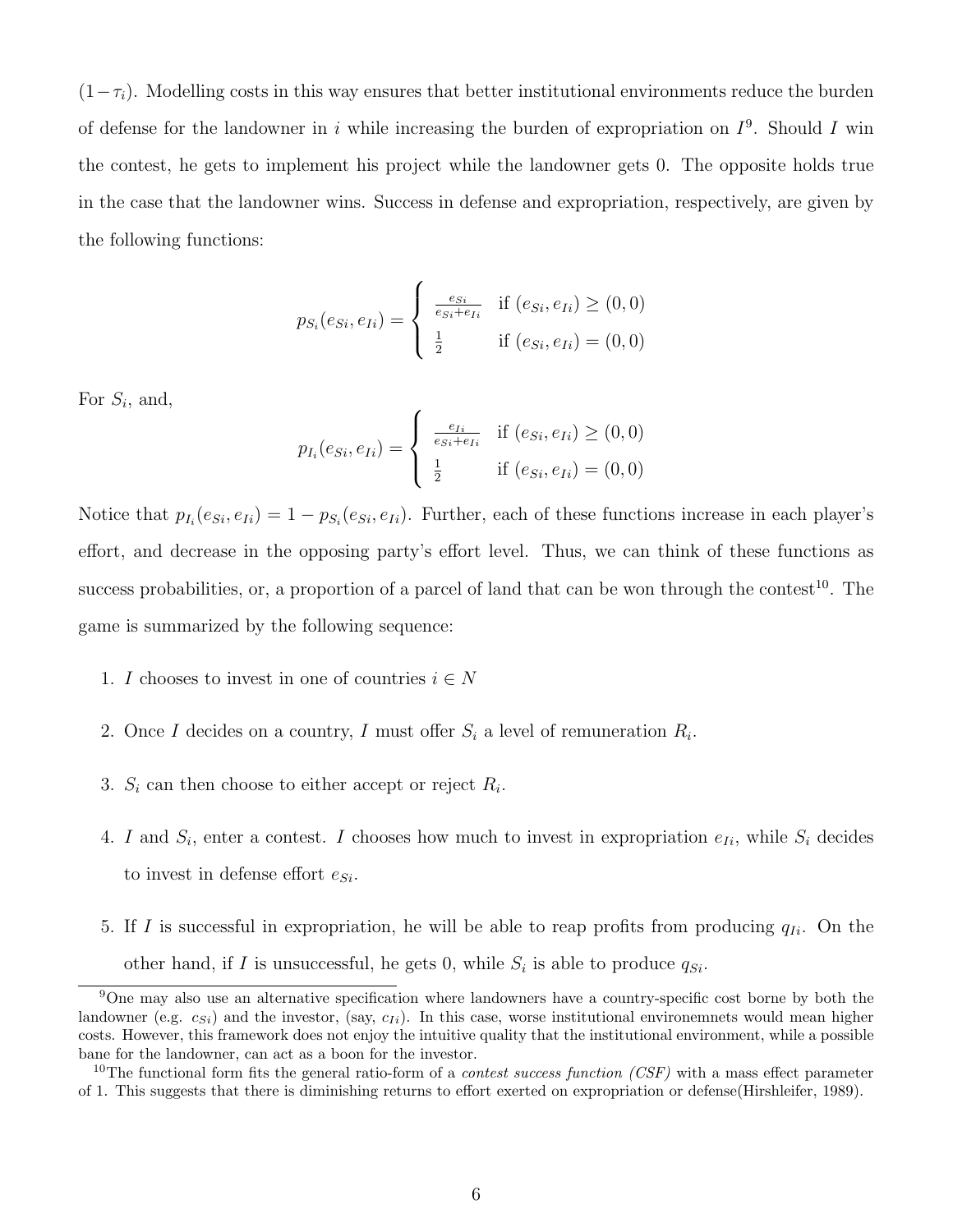$(1-\tau_i)$ . Modelling costs in this way ensures that better institutional environments reduce the burden of defense for the landowner in i while increasing the burden of expropriation on  $I^9$ . Should I win the contest, he gets to implement his project while the landowner gets 0. The opposite holds true in the case that the landowner wins. Success in defense and expropriation, respectively, are given by the following functions:

$$
p_{S_i}(e_{Si}, e_{Ii}) = \begin{cases} \frac{e_{Si}}{e_{Si} + e_{Ii}} & \text{if } (e_{Si}, e_{Ii}) \ge (0, 0) \\ \frac{1}{2} & \text{if } (e_{Si}, e_{Ii}) = (0, 0) \end{cases}
$$

For  $S_i$ , and,

$$
p_{I_i}(e_{Si}, e_{Ii}) = \begin{cases} \frac{e_{Ii}}{e_{Si} + e_{Ii}} & \text{if } (e_{Si}, e_{Ii}) \ge (0, 0) \\ \frac{1}{2} & \text{if } (e_{Si}, e_{Ii}) = (0, 0) \end{cases}
$$

Notice that  $p_{I_i}(e_{Si}, e_{Ii}) = 1 - p_{S_i}(e_{Si}, e_{Ii})$ . Further, each of these functions increase in each player's effort, and decrease in the opposing party's effort level. Thus, we can think of these functions as success probabilities, or, a proportion of a parcel of land that can be won through the contest<sup>10</sup>. The game is summarized by the following sequence:

- 1. I chooses to invest in one of countries  $i \in N$
- 2. Once I decides on a country, I must offer  $S_i$  a level of remuneration  $R_i$ .
- 3.  $S_i$  can then choose to either accept or reject  $R_i$ .
- 4. I and  $S_i$ , enter a contest. I chooses how much to invest in expropriation  $e_{I_i}$ , while  $S_i$  decides to invest in defense effort  $e_{Si}$ .
- 5. If I is successful in expropriation, he will be able to reap profits from producing  $q_{Ii}$ . On the other hand, if I is unsuccessful, he gets 0, while  $S_i$  is able to produce  $q_{Si}$ .

<sup>&</sup>lt;sup>9</sup>One may also use an alternative specification where landowners have a country-specific cost borne by both the landowner (e.g.  $c_{Si}$ ) and the investor, (say,  $c_{Ii}$ ). In this case, worse institutional environemnets would mean higher costs. However, this framework does not enjoy the intuitive quality that the institutional environment, while a possible bane for the landowner, can act as a boon for the investor.

<sup>&</sup>lt;sup>10</sup>The functional form fits the general ratio-form of a *contest success function (CSF)* with a mass effect parameter of 1. This suggests that there is diminishing returns to effort exerted on expropriation or defense(Hirshleifer, 1989).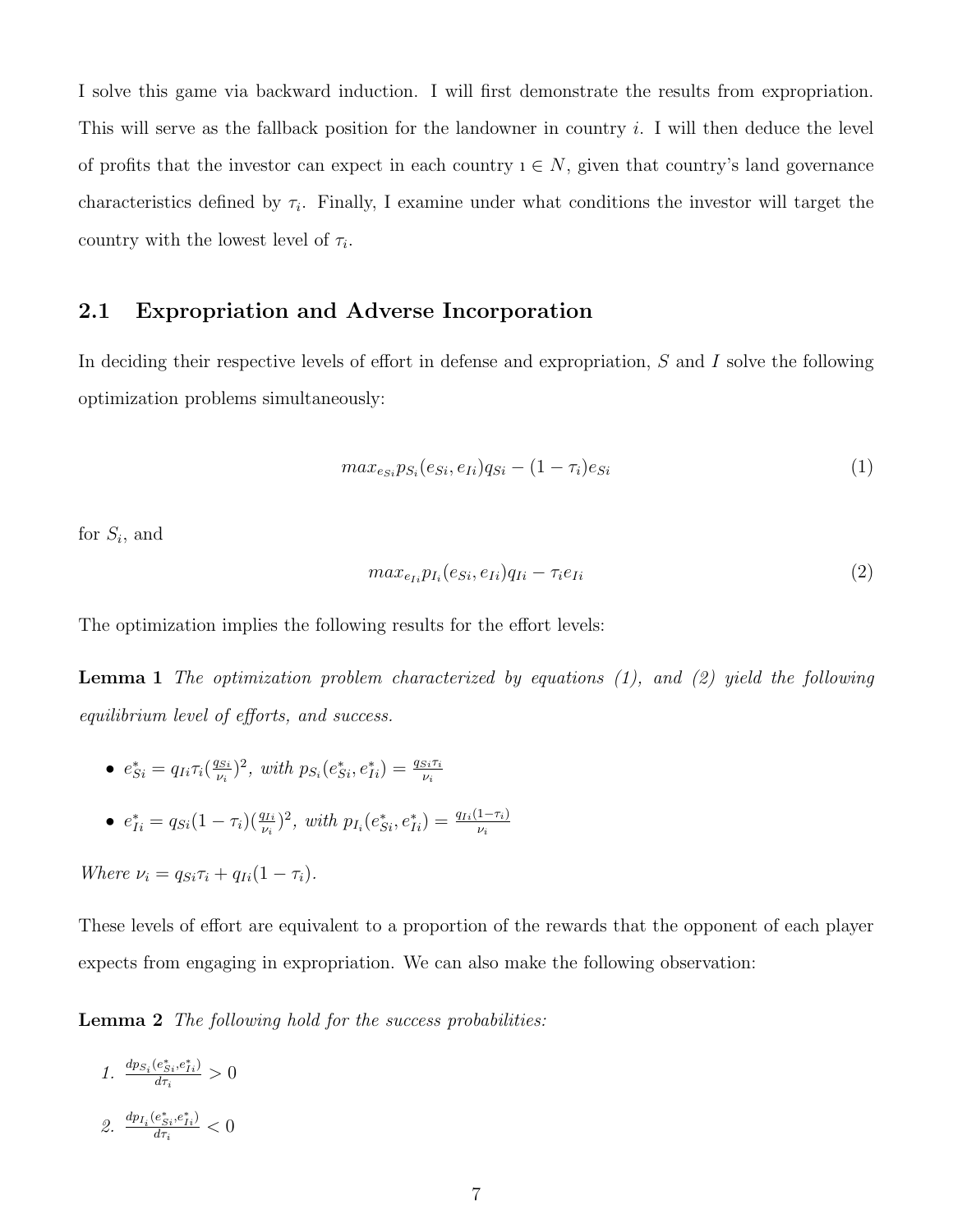I solve this game via backward induction. I will first demonstrate the results from expropriation. This will serve as the fallback position for the landowner in country  $i$ . I will then deduce the level of profits that the investor can expect in each country  $i \in N$ , given that country's land governance characteristics defined by  $\tau_i$ . Finally, I examine under what conditions the investor will target the country with the lowest level of  $\tau_i$ .

#### 2.1 Expropriation and Adverse Incorporation

In deciding their respective levels of effort in defense and expropriation, S and I solve the following optimization problems simultaneously:

$$
max_{e_{Si}} p_{S_i}(e_{Si}, e_{Ii}) q_{Si} - (1 - \tau_i) e_{Si}
$$
\n
$$
(1)
$$

for  $S_i$ , and

$$
max_{e_{Ii}} p_{I_i}(e_{Si}, e_{Ii}) q_{Ii} - \tau_i e_{Ii}
$$
\n
$$
\tag{2}
$$

The optimization implies the following results for the effort levels:

**Lemma 1** The optimization problem characterized by equations  $(1)$ , and  $(2)$  yield the following equilibrium level of efforts, and success.

- $e_{Si}^* = q_{Ii}\tau_i(\frac{q_{Si}}{\nu_i})$  $\frac{q_{Si}}{\nu_i}$ <sup>2</sup>, with  $p_{S_i}(e_{Si}^*, e_{Ii}^*) = \frac{q_{Si}\tau_i}{\nu_i}$
- $e_{Ii}^* = q_{Si}(1-\tau_i)(\frac{q_{Ii}}{\nu_i})^2$ , with  $p_{I_i}(e_{Si}^*, e_{Ii}^*) = \frac{q_{Ii}(1-\tau_i)}{\nu_i}$

Where  $\nu_i = q_{Si}\tau_i + q_{Ii}(1 - \tau_i)$ .

These levels of effort are equivalent to a proportion of the rewards that the opponent of each player expects from engaging in expropriation. We can also make the following observation:

Lemma 2 The following hold for the success probabilities:

- 1.  $\frac{dp_{S_i}(e_{Si}^*,e_{Ii}^*)}{d\tau}$  $\frac{d_{Si}, e_{Ii}}{d\tau_i} > 0$
- 2.  $\frac{dp_{I_i}(e^*_{Si},e^*_{Ii})}{d\tau}$  $\frac{\sum_{i}^{e} S_i e_{I_i}}{d\tau_i} < 0$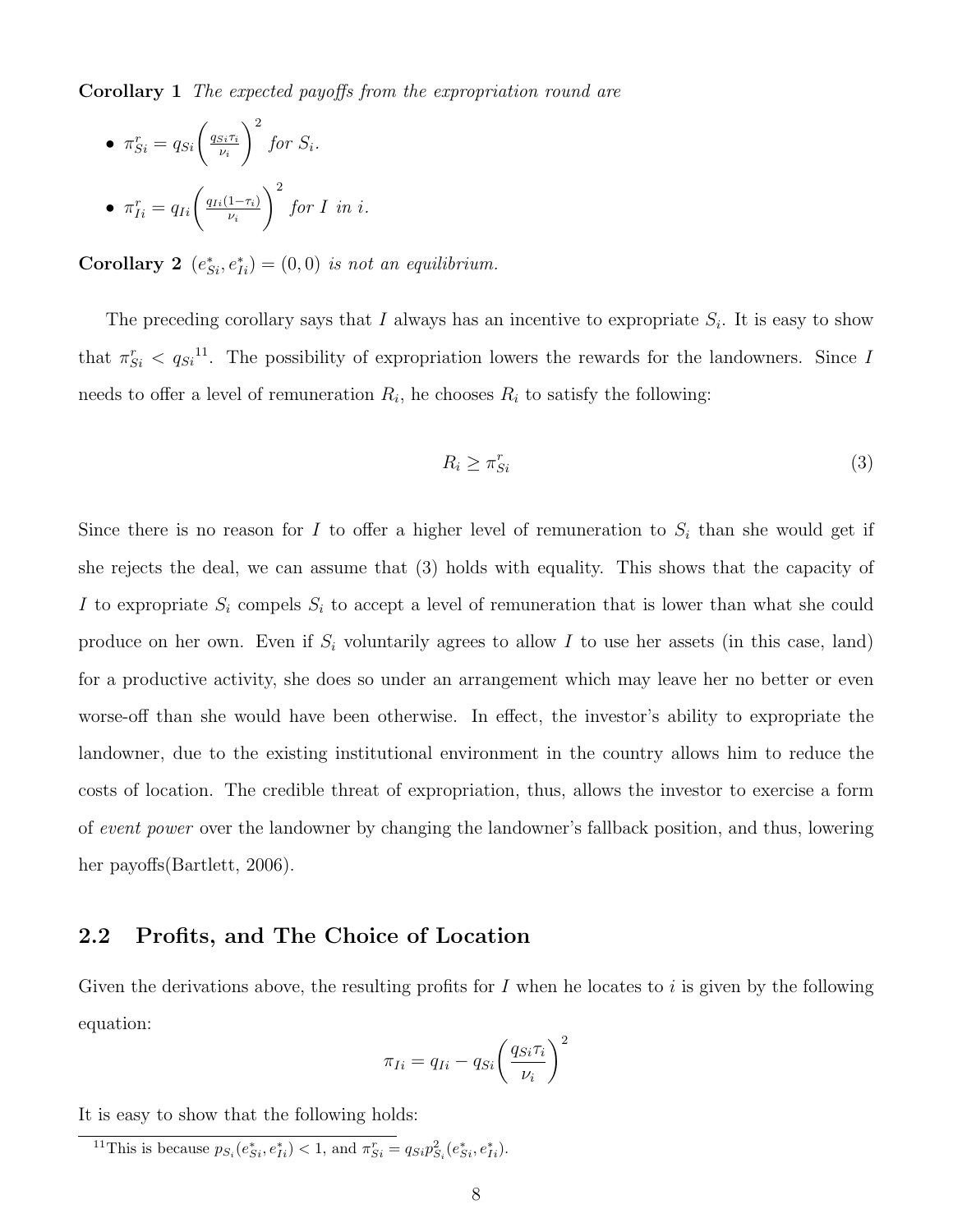Corollary 1 The expected payoffs from the expropriation round are

• 
$$
\pi_{Si}^r = q_{Si} \left(\frac{q_{Si}\tau_i}{\nu_i}\right)^2
$$
 for  $S_i$ .  
\n•  $\pi_{Ii}^r = q_{Ii} \left(\frac{q_{Ii}(1-\tau_i)}{\nu_i}\right)^2$  for I in i.

Corollary 2  $(e_{Si}^*, e_{Ii}^*) = (0,0)$  is not an equilibrium.

The preceding corollary says that I always has an incentive to expropriate  $S_i$ . It is easy to show that  $\pi_{Si}^r < q_{Si}^{11}$ . The possibility of expropriation lowers the rewards for the landowners. Since I needs to offer a level of remuneration  $R_i$ , he chooses  $R_i$  to satisfy the following:

$$
R_i \ge \pi_{Si}^r \tag{3}
$$

Since there is no reason for I to offer a higher level of remuneration to  $S_i$  than she would get if she rejects the deal, we can assume that (3) holds with equality. This shows that the capacity of I to expropriate  $S_i$  compels  $S_i$  to accept a level of remuneration that is lower than what she could produce on her own. Even if  $S_i$  voluntarily agrees to allow I to use her assets (in this case, land) for a productive activity, she does so under an arrangement which may leave her no better or even worse-off than she would have been otherwise. In effect, the investor's ability to expropriate the landowner, due to the existing institutional environment in the country allows him to reduce the costs of location. The credible threat of expropriation, thus, allows the investor to exercise a form of event power over the landowner by changing the landowner's fallback position, and thus, lowering her payoffs(Bartlett, 2006).

#### 2.2 Profits, and The Choice of Location

Given the derivations above, the resulting profits for  $I$  when he locates to  $i$  is given by the following equation:

$$
\pi_{Ii} = q_{Ii} - q_{Si} \left(\frac{q_{Si}\tau_i}{\nu_i}\right)^2
$$

It is easy to show that the following holds:

<sup>11</sup>This is because  $p_{S_i}(e_{Si}^*, e_{Ii}^*) < 1$ , and  $\pi_{Si}^r = q_{Si}p_{S_i}^2(e_{Si}^*, e_{Ii}^*)$ .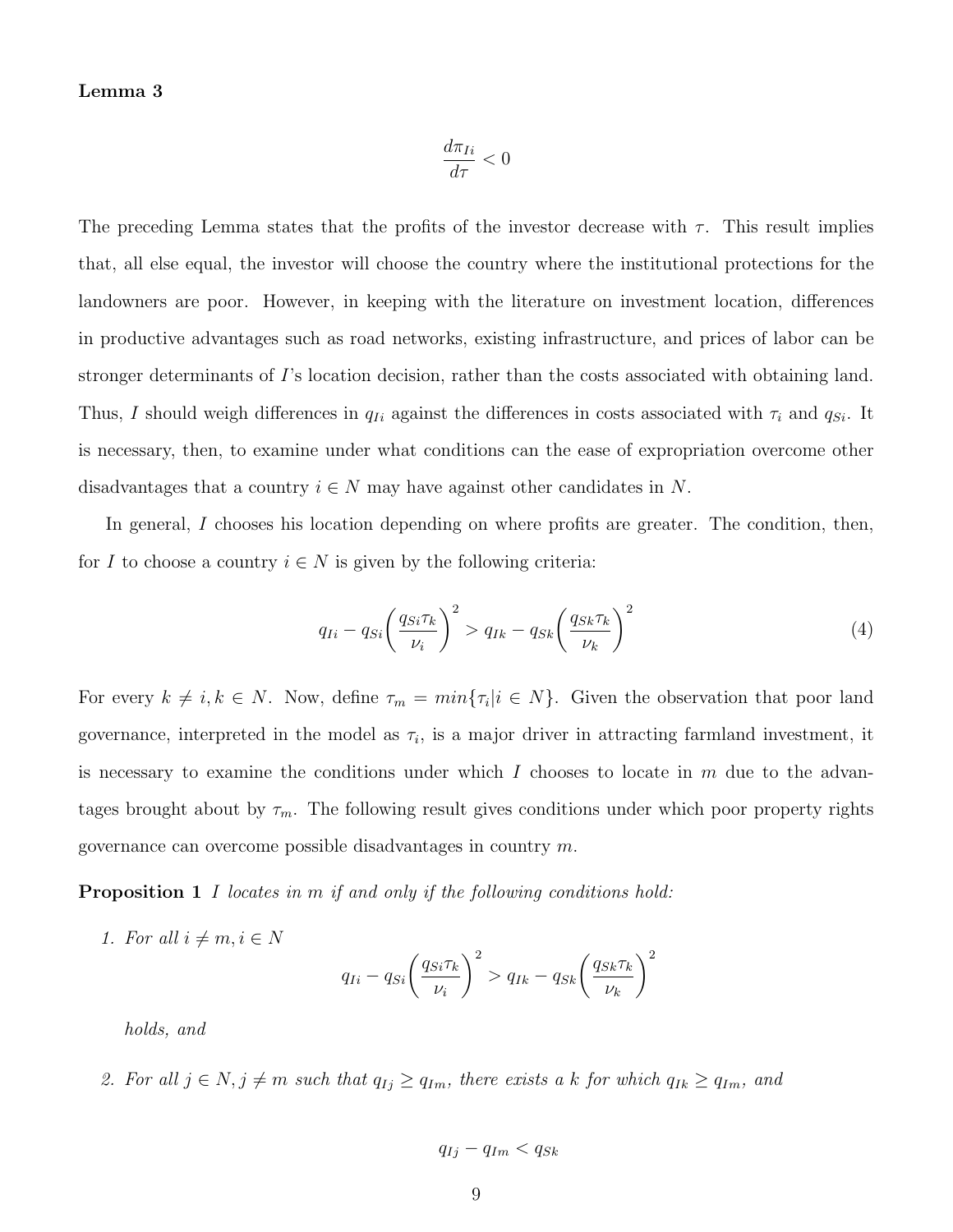#### Lemma 3

$$
\frac{d\pi_{Ii}}{d\tau} < 0
$$

The preceding Lemma states that the profits of the investor decrease with  $\tau$ . This result implies that, all else equal, the investor will choose the country where the institutional protections for the landowners are poor. However, in keeping with the literature on investment location, differences in productive advantages such as road networks, existing infrastructure, and prices of labor can be stronger determinants of I's location decision, rather than the costs associated with obtaining land. Thus, I should weigh differences in  $q_{Ii}$  against the differences in costs associated with  $\tau_i$  and  $q_{Si}$ . It is necessary, then, to examine under what conditions can the ease of expropriation overcome other disadvantages that a country  $i \in N$  may have against other candidates in N.

In general, I chooses his location depending on where profits are greater. The condition, then, for I to choose a country  $i \in N$  is given by the following criteria:

$$
q_{Ii} - q_{Si} \left(\frac{q_{Si} \tau_k}{\nu_i}\right)^2 > q_{Ik} - q_{Sk} \left(\frac{q_{Sk} \tau_k}{\nu_k}\right)^2 \tag{4}
$$

For every  $k \neq i, k \in N$ . Now, define  $\tau_m = min\{\tau_i | i \in N\}$ . Given the observation that poor land governance, interpreted in the model as  $\tau_i$ , is a major driver in attracting farmland investment, it is necessary to examine the conditions under which  $I$  chooses to locate in  $m$  due to the advantages brought about by  $\tau_m$ . The following result gives conditions under which poor property rights governance can overcome possible disadvantages in country m.

Proposition 1 I locates in m if and only if the following conditions hold:

1. For all  $i \neq m, i \in N$ 

$$
q_{Ii} - q_{Si} \left(\frac{q_{Si} \tau_k}{\nu_i}\right)^2 > q_{Ik} - q_{Sk} \left(\frac{q_{Sk} \tau_k}{\nu_k}\right)^2
$$

holds, and

2. For all  $j \in N$ ,  $j \neq m$  such that  $q_{Ij} \geq q_{Im}$ , there exists a k for which  $q_{Ik} \geq q_{Im}$ , and

$$
q_{Ij} - q_{Im} < q_{Sk}
$$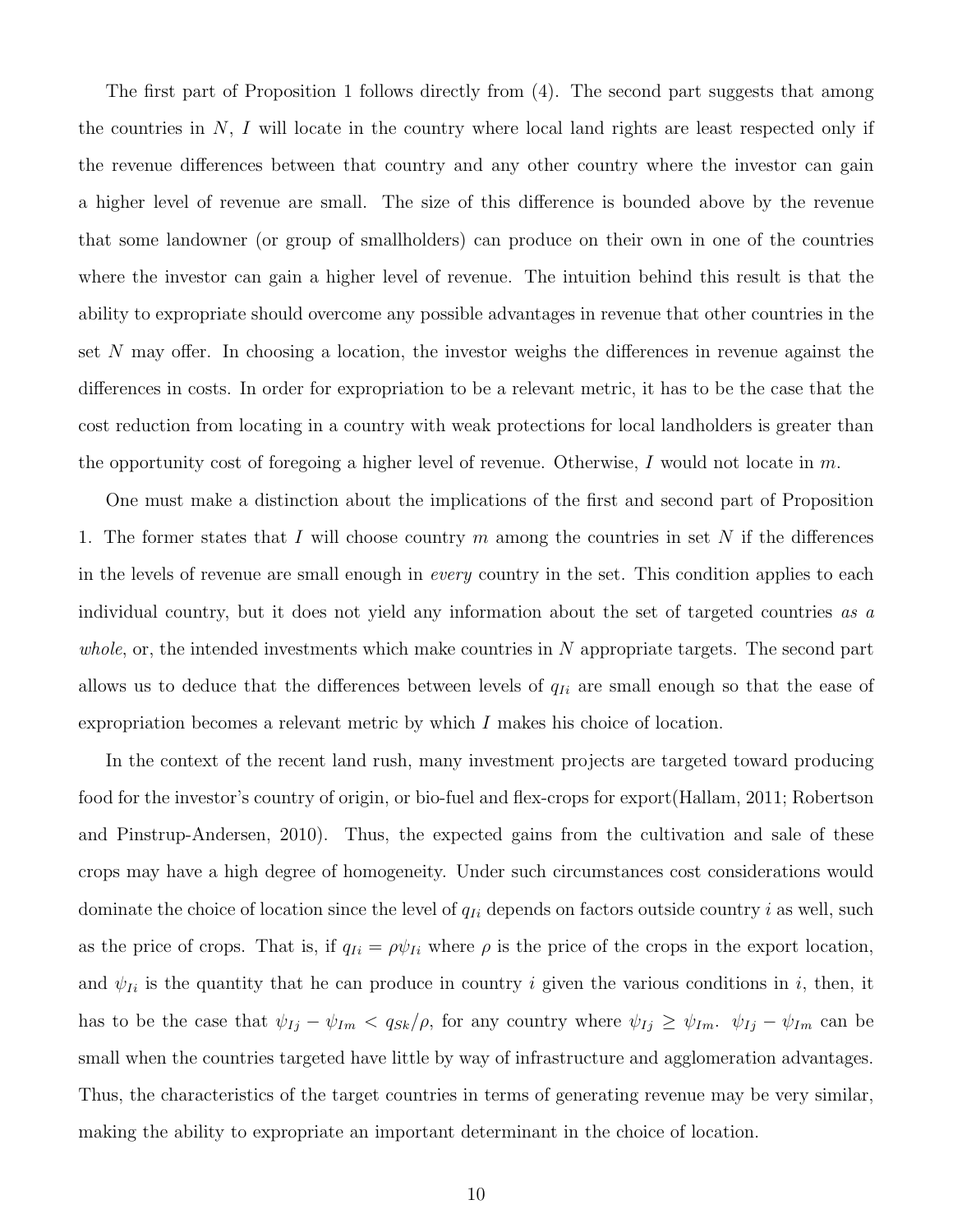The first part of Proposition 1 follows directly from (4). The second part suggests that among the countries in  $N$ , I will locate in the country where local land rights are least respected only if the revenue differences between that country and any other country where the investor can gain a higher level of revenue are small. The size of this difference is bounded above by the revenue that some landowner (or group of smallholders) can produce on their own in one of the countries where the investor can gain a higher level of revenue. The intuition behind this result is that the ability to expropriate should overcome any possible advantages in revenue that other countries in the set N may offer. In choosing a location, the investor weighs the differences in revenue against the differences in costs. In order for expropriation to be a relevant metric, it has to be the case that the cost reduction from locating in a country with weak protections for local landholders is greater than the opportunity cost of foregoing a higher level of revenue. Otherwise, I would not locate in  $m$ .

One must make a distinction about the implications of the first and second part of Proposition 1. The former states that I will choose country m among the countries in set N if the differences in the levels of revenue are small enough in every country in the set. This condition applies to each individual country, but it does not yield any information about the set of targeted countries as a whole, or, the intended investments which make countries in  $N$  appropriate targets. The second part allows us to deduce that the differences between levels of  $q_{Ii}$  are small enough so that the ease of expropriation becomes a relevant metric by which I makes his choice of location.

In the context of the recent land rush, many investment projects are targeted toward producing food for the investor's country of origin, or bio-fuel and flex-crops for export(Hallam, 2011; Robertson and Pinstrup-Andersen, 2010). Thus, the expected gains from the cultivation and sale of these crops may have a high degree of homogeneity. Under such circumstances cost considerations would dominate the choice of location since the level of  $q_{Ii}$  depends on factors outside country i as well, such as the price of crops. That is, if  $q_{Ii} = \rho \psi_{Ii}$  where  $\rho$  is the price of the crops in the export location, and  $\psi_{Ii}$  is the quantity that he can produce in country i given the various conditions in i, then, it has to be the case that  $\psi_{Ij} - \psi_{Im} < q_{Sk}/\rho$ , for any country where  $\psi_{Ij} \ge \psi_{Im}$ .  $\psi_{Ij} - \psi_{Im}$  can be small when the countries targeted have little by way of infrastructure and agglomeration advantages. Thus, the characteristics of the target countries in terms of generating revenue may be very similar, making the ability to expropriate an important determinant in the choice of location.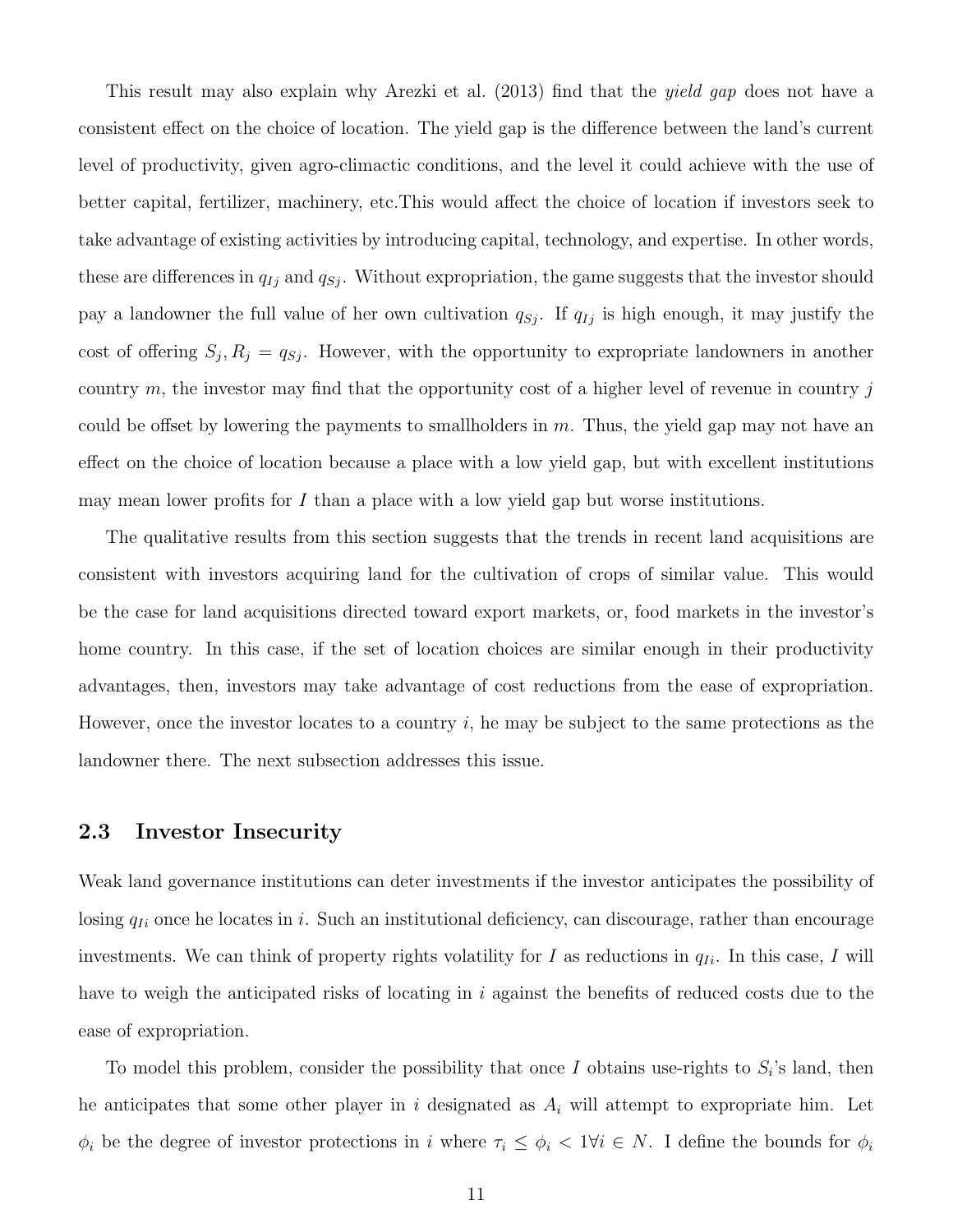This result may also explain why Arezki et al. (2013) find that the yield gap does not have a consistent effect on the choice of location. The yield gap is the difference between the land's current level of productivity, given agro-climactic conditions, and the level it could achieve with the use of better capital, fertilizer, machinery, etc.This would affect the choice of location if investors seek to take advantage of existing activities by introducing capital, technology, and expertise. In other words, these are differences in  $q_{Ij}$  and  $q_{Sj}$ . Without expropriation, the game suggests that the investor should pay a landowner the full value of her own cultivation  $q_{Sj}$ . If  $q_{Ij}$  is high enough, it may justify the cost of offering  $S_j$ ,  $R_j = q_{S_j}$ . However, with the opportunity to expropriate landowners in another country m, the investor may find that the opportunity cost of a higher level of revenue in country j could be offset by lowering the payments to smallholders in  $m$ . Thus, the yield gap may not have an effect on the choice of location because a place with a low yield gap, but with excellent institutions may mean lower profits for  $I$  than a place with a low yield gap but worse institutions.

The qualitative results from this section suggests that the trends in recent land acquisitions are consistent with investors acquiring land for the cultivation of crops of similar value. This would be the case for land acquisitions directed toward export markets, or, food markets in the investor's home country. In this case, if the set of location choices are similar enough in their productivity advantages, then, investors may take advantage of cost reductions from the ease of expropriation. However, once the investor locates to a country i, he may be subject to the same protections as the landowner there. The next subsection addresses this issue.

#### 2.3 Investor Insecurity

Weak land governance institutions can deter investments if the investor anticipates the possibility of losing  $q_{Ii}$  once he locates in i. Such an institutional deficiency, can discourage, rather than encourage investments. We can think of property rights volatility for I as reductions in  $q_{Ii}$ . In this case, I will have to weigh the anticipated risks of locating in i against the benefits of reduced costs due to the ease of expropriation.

To model this problem, consider the possibility that once I obtains use-rights to  $S_i$ 's land, then he anticipates that some other player in i designated as  $A_i$  will attempt to expropriate him. Let  $\phi_i$  be the degree of investor protections in i where  $\tau_i \leq \phi_i < 1 \forall i \in N$ . I define the bounds for  $\phi_i$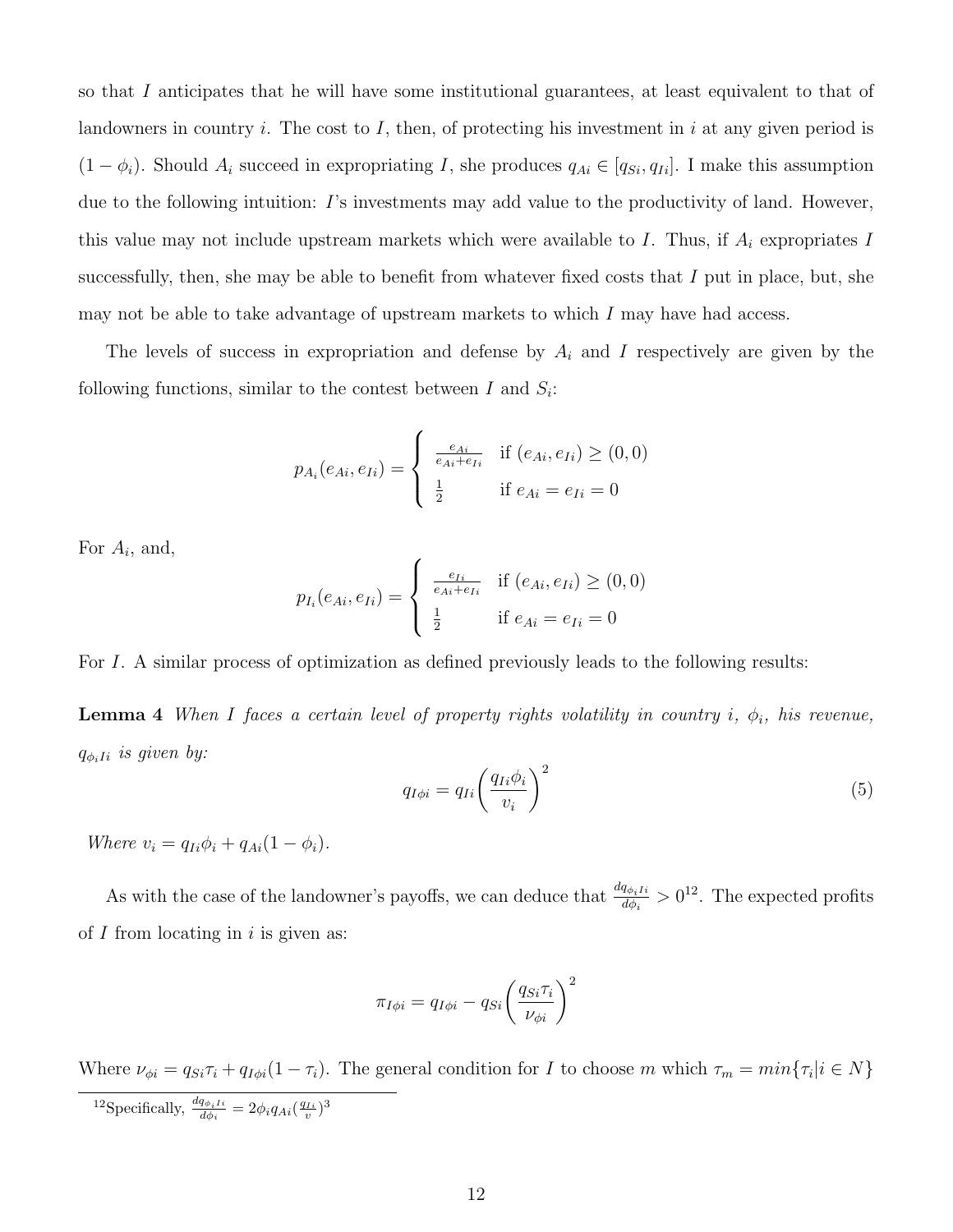so that I anticipates that he will have some institutional guarantees, at least equivalent to that of landowners in country i. The cost to I, then, of protecting his investment in i at any given period is  $(1 - \phi_i)$ . Should  $A_i$  succeed in expropriating I, she produces  $q_{Ai} \in [q_{Si}, q_{Ii}]$ . I make this assumption due to the following intuition: I's investments may add value to the productivity of land. However, this value may not include upstream markets which were available to  $I$ . Thus, if  $A_i$  expropriates  $I$ successfully, then, she may be able to benefit from whatever fixed costs that  $I$  put in place, but, she may not be able to take advantage of upstream markets to which I may have had access.

The levels of success in expropriation and defense by  $A_i$  and I respectively are given by the following functions, similar to the contest between  $I$  and  $S_i$ :

$$
p_{A_i}(e_{Ai}, e_{Ii}) = \begin{cases} \frac{e_{Ai}}{e_{Ai} + e_{Ii}} & \text{if } (e_{Ai}, e_{Ii}) \ge (0, 0) \\ \frac{1}{2} & \text{if } e_{Ai} = e_{Ii} = 0 \end{cases}
$$

For  $A_i$ , and,

$$
p_{I_i}(e_{Ai}, e_{Ii}) = \begin{cases} \frac{e_{Ii}}{e_{Ai} + e_{Ii}} & \text{if } (e_{Ai}, e_{Ii}) \ge (0, 0) \\ \frac{1}{2} & \text{if } e_{Ai} = e_{Ii} = 0 \end{cases}
$$

For I. A similar process of optimization as defined previously leads to the following results:

**Lemma 4** When I faces a certain level of property rights volatility in country i,  $\phi_i$ , his revenue,  $q_{\phi_i}$ *ii* is given by:

$$
q_{I\phi i} = q_{Ii} \left(\frac{q_{Ii}\phi_i}{v_i}\right)^2 \tag{5}
$$

Where  $v_i = q_{Ii}\phi_i + q_{Ai}(1 - \phi_i)$ .

As with the case of the landowner's payoffs, we can deduce that  $\frac{dq_{\phi}I_i}{d\phi}$  $\frac{q_{\phi_i I i}}{d_{\phi_i}} > 0^{12}$ . The expected profits of  $I$  from locating in i is given as:

$$
\pi_{I\phi i} = q_{I\phi i} - q_{Si} \left(\frac{q_{Si}\tau_i}{\nu_{\phi i}}\right)^2
$$

Where  $\nu_{\phi i} = q_{Si}\tau_i + q_{I\phi i}(1-\tau_i)$ . The general condition for I to choose m which  $\tau_m = min\{\tau_i | i \in N\}$ 

<sup>12</sup>Specifically,  $\frac{dq_{\phi_i I i}}{d\phi_i} = 2\phi_i q_{Ai}(\frac{q_{Ii}}{v})^3$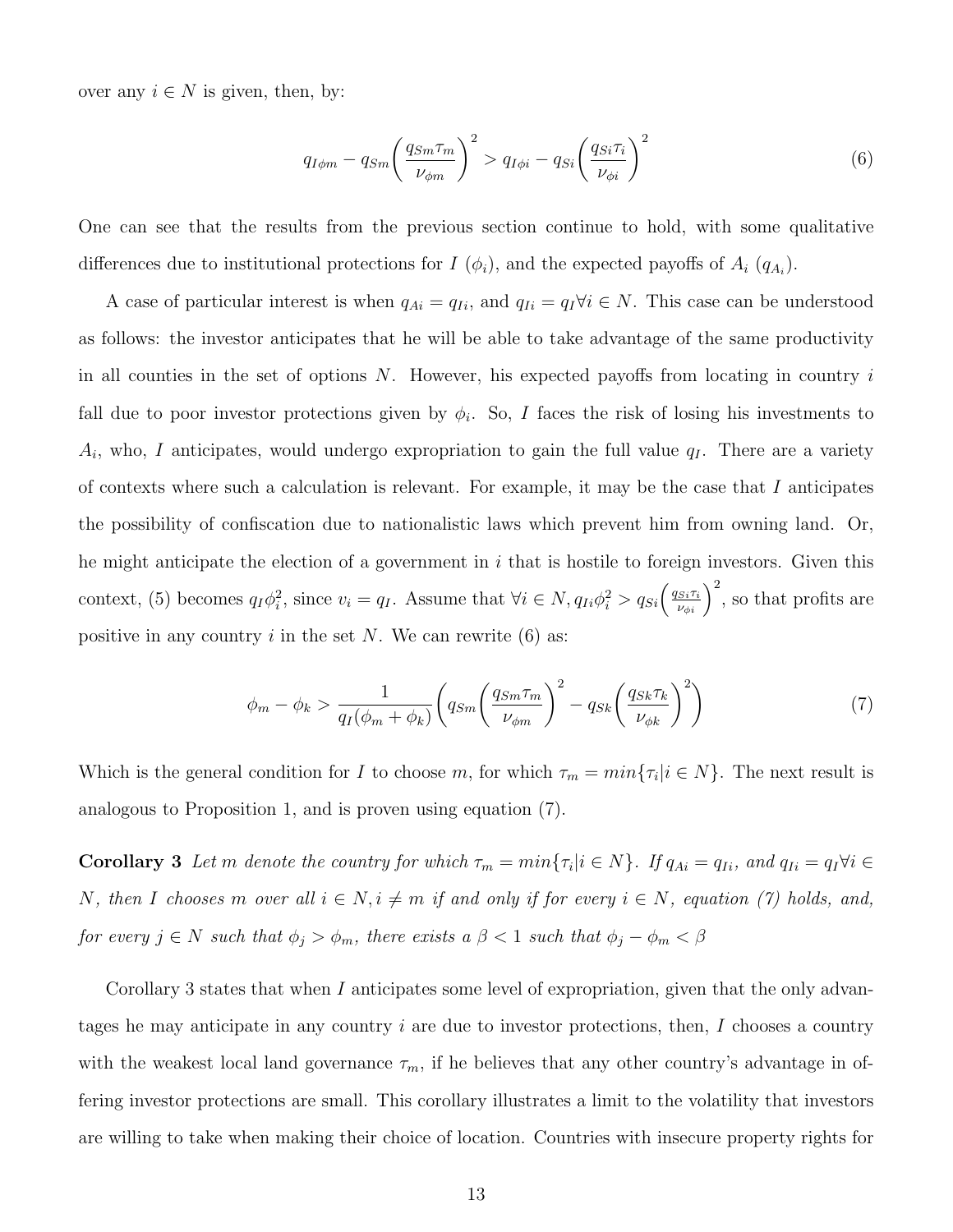over any  $i \in N$  is given, then, by:

$$
q_{I\phi m} - q_{Sm} \left(\frac{q_{Sm}\tau_m}{\nu_{\phi m}}\right)^2 > q_{I\phi i} - q_{Si} \left(\frac{q_{Si}\tau_i}{\nu_{\phi i}}\right)^2 \tag{6}
$$

One can see that the results from the previous section continue to hold, with some qualitative differences due to institutional protections for  $I(\phi_i)$ , and the expected payoffs of  $A_i(q_{A_i})$ .

A case of particular interest is when  $q_{Ai} = q_{Ii}$ , and  $q_{Ii} = q_I \forall i \in N$ . This case can be understood as follows: the investor anticipates that he will be able to take advantage of the same productivity in all counties in the set of options  $N$ . However, his expected payoffs from locating in country  $i$ fall due to poor investor protections given by  $\phi_i$ . So, I faces the risk of losing his investments to  $A_i$ , who, I anticipates, would undergo expropriation to gain the full value  $q_I$ . There are a variety of contexts where such a calculation is relevant. For example, it may be the case that  $I$  anticipates the possibility of confiscation due to nationalistic laws which prevent him from owning land. Or, he might anticipate the election of a government in  $i$  that is hostile to foreign investors. Given this context, (5) becomes  $q_I \phi_i^2$ , since  $v_i = q_I$ . Assume that  $\forall i \in N$ ,  $q_{Ii} \phi_i^2 > q_{Si} \left(\frac{q_{Si}\tau_i}{\nu_{\phi i}}\right)^2$ , so that profits are positive in any country i in the set N. We can rewrite  $(6)$  as:

$$
\phi_m - \phi_k > \frac{1}{q_I(\phi_m + \phi_k)} \left( q_{Sm} \left( \frac{q_{Sm} \tau_m}{\nu_{\phi m}} \right)^2 - q_{Sk} \left( \frac{q_{Sk} \tau_k}{\nu_{\phi k}} \right)^2 \right) \tag{7}
$$

Which is the general condition for I to choose m, for which  $\tau_m = min\{\tau_i | i \in N\}$ . The next result is analogous to Proposition 1, and is proven using equation (7).

**Corollary 3** Let m denote the country for which  $\tau_m = min\{\tau_i | i \in N\}$ . If  $q_{Ai} = q_{Ii}$ , and  $q_{Ii} = q_I \forall i \in \mathbb{N}$ N, then I chooses m over all  $i \in N$ ,  $i \neq m$  if and only if for every  $i \in N$ , equation (7) holds, and, for every  $j \in N$  such that  $\phi_j > \phi_m$ , there exists a  $\beta < 1$  such that  $\phi_j - \phi_m < \beta$ 

Corollary 3 states that when I anticipates some level of expropriation, given that the only advantages he may anticipate in any country  $i$  are due to investor protections, then,  $I$  chooses a country with the weakest local land governance  $\tau_m$ , if he believes that any other country's advantage in offering investor protections are small. This corollary illustrates a limit to the volatility that investors are willing to take when making their choice of location. Countries with insecure property rights for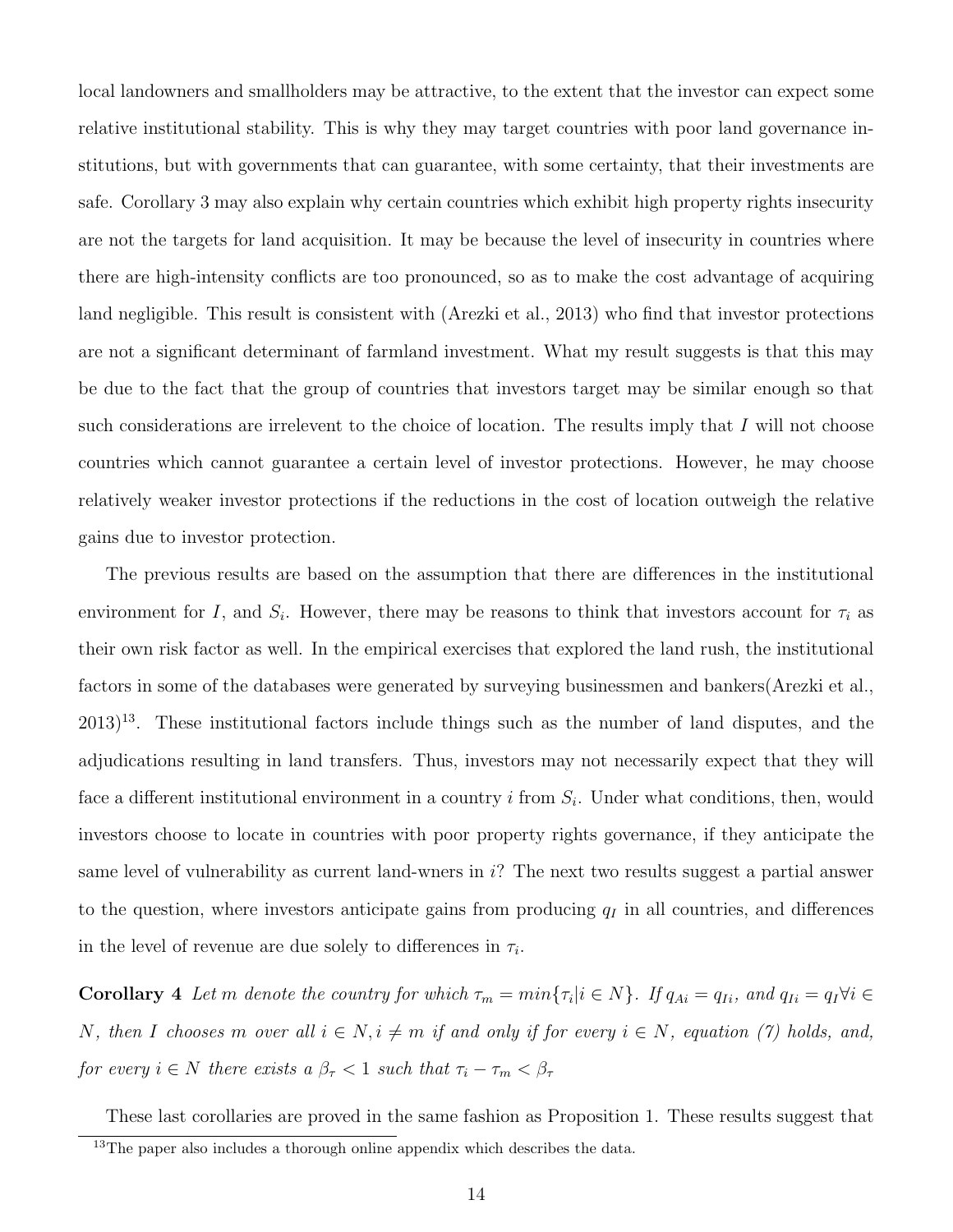local landowners and smallholders may be attractive, to the extent that the investor can expect some relative institutional stability. This is why they may target countries with poor land governance institutions, but with governments that can guarantee, with some certainty, that their investments are safe. Corollary 3 may also explain why certain countries which exhibit high property rights insecurity are not the targets for land acquisition. It may be because the level of insecurity in countries where there are high-intensity conflicts are too pronounced, so as to make the cost advantage of acquiring land negligible. This result is consistent with (Arezki et al., 2013) who find that investor protections are not a significant determinant of farmland investment. What my result suggests is that this may be due to the fact that the group of countries that investors target may be similar enough so that such considerations are irrelevent to the choice of location. The results imply that  $I$  will not choose countries which cannot guarantee a certain level of investor protections. However, he may choose relatively weaker investor protections if the reductions in the cost of location outweigh the relative gains due to investor protection.

The previous results are based on the assumption that there are differences in the institutional environment for I, and  $S_i$ . However, there may be reasons to think that investors account for  $\tau_i$  as their own risk factor as well. In the empirical exercises that explored the land rush, the institutional factors in some of the databases were generated by surveying businessmen and bankers(Arezki et al.,  $2013$ <sup>13</sup>. These institutional factors include things such as the number of land disputes, and the adjudications resulting in land transfers. Thus, investors may not necessarily expect that they will face a different institutional environment in a country  $i$  from  $S_i$ . Under what conditions, then, would investors choose to locate in countries with poor property rights governance, if they anticipate the same level of vulnerability as current land-wners in  $i$ ? The next two results suggest a partial answer to the question, where investors anticipate gains from producing  $q_I$  in all countries, and differences in the level of revenue are due solely to differences in  $\tau_i$ .

**Corollary** 4 Let m denote the country for which  $\tau_m = min\{\tau_i | i \in N\}$ . If  $q_{Ai} = q_{Ii}$ , and  $q_{Ii} = q_I \forall i \in \mathbb{N}$ N, then I chooses m over all  $i \in N$ ,  $i \neq m$  if and only if for every  $i \in N$ , equation (7) holds, and, for every  $i \in N$  there exists a  $\beta_{\tau} < 1$  such that  $\tau_i - \tau_m < \beta_{\tau}$ 

These last corollaries are proved in the same fashion as Proposition 1. These results suggest that

<sup>&</sup>lt;sup>13</sup>The paper also includes a thorough online appendix which describes the data.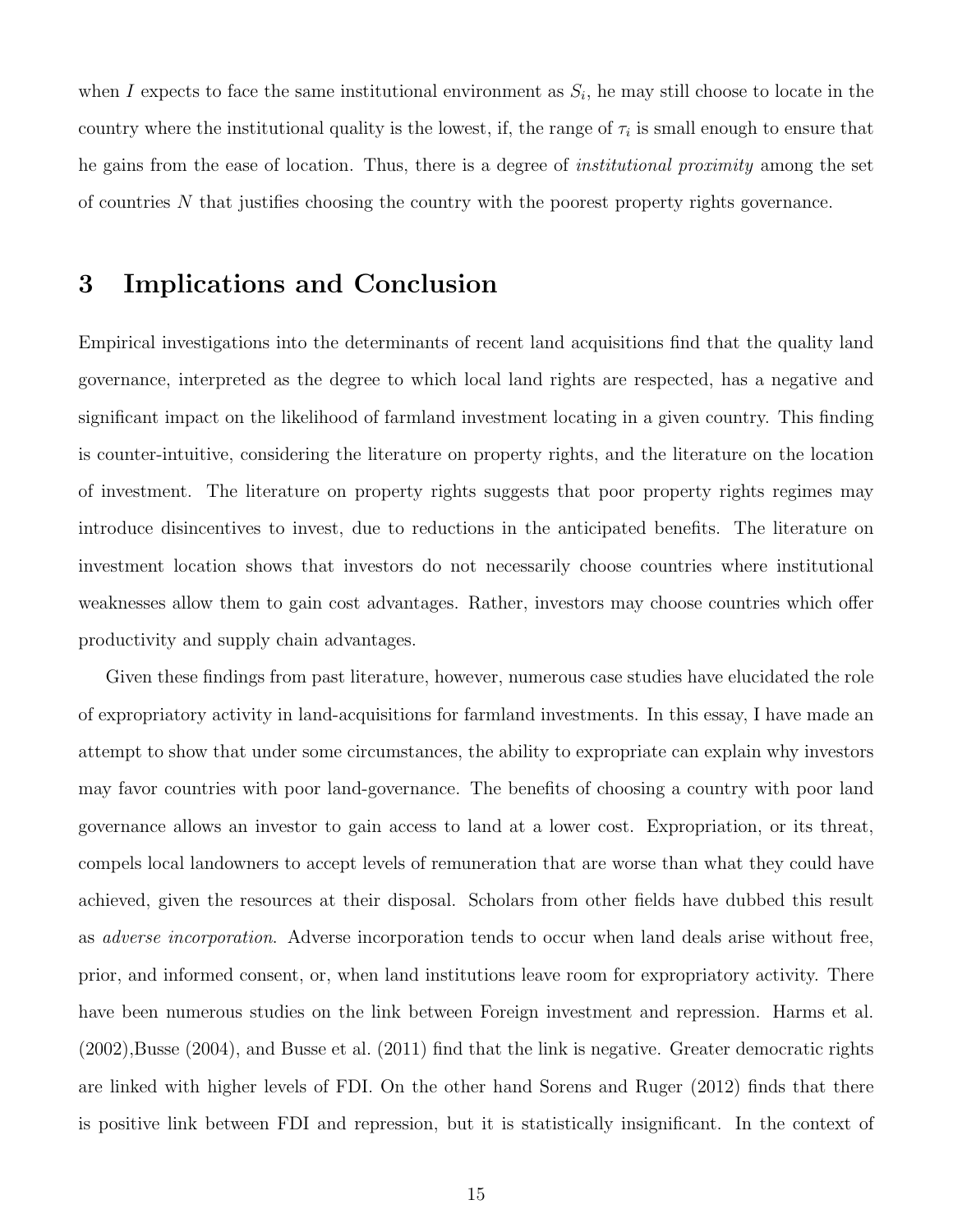when I expects to face the same institutional environment as  $S_i$ , he may still choose to locate in the country where the institutional quality is the lowest, if, the range of  $\tau_i$  is small enough to ensure that he gains from the ease of location. Thus, there is a degree of institutional proximity among the set of countries N that justifies choosing the country with the poorest property rights governance.

## 3 Implications and Conclusion

Empirical investigations into the determinants of recent land acquisitions find that the quality land governance, interpreted as the degree to which local land rights are respected, has a negative and significant impact on the likelihood of farmland investment locating in a given country. This finding is counter-intuitive, considering the literature on property rights, and the literature on the location of investment. The literature on property rights suggests that poor property rights regimes may introduce disincentives to invest, due to reductions in the anticipated benefits. The literature on investment location shows that investors do not necessarily choose countries where institutional weaknesses allow them to gain cost advantages. Rather, investors may choose countries which offer productivity and supply chain advantages.

Given these findings from past literature, however, numerous case studies have elucidated the role of expropriatory activity in land-acquisitions for farmland investments. In this essay, I have made an attempt to show that under some circumstances, the ability to expropriate can explain why investors may favor countries with poor land-governance. The benefits of choosing a country with poor land governance allows an investor to gain access to land at a lower cost. Expropriation, or its threat, compels local landowners to accept levels of remuneration that are worse than what they could have achieved, given the resources at their disposal. Scholars from other fields have dubbed this result as adverse incorporation. Adverse incorporation tends to occur when land deals arise without free, prior, and informed consent, or, when land institutions leave room for expropriatory activity. There have been numerous studies on the link between Foreign investment and repression. Harms et al. (2002),Busse (2004), and Busse et al. (2011) find that the link is negative. Greater democratic rights are linked with higher levels of FDI. On the other hand Sorens and Ruger (2012) finds that there is positive link between FDI and repression, but it is statistically insignificant. In the context of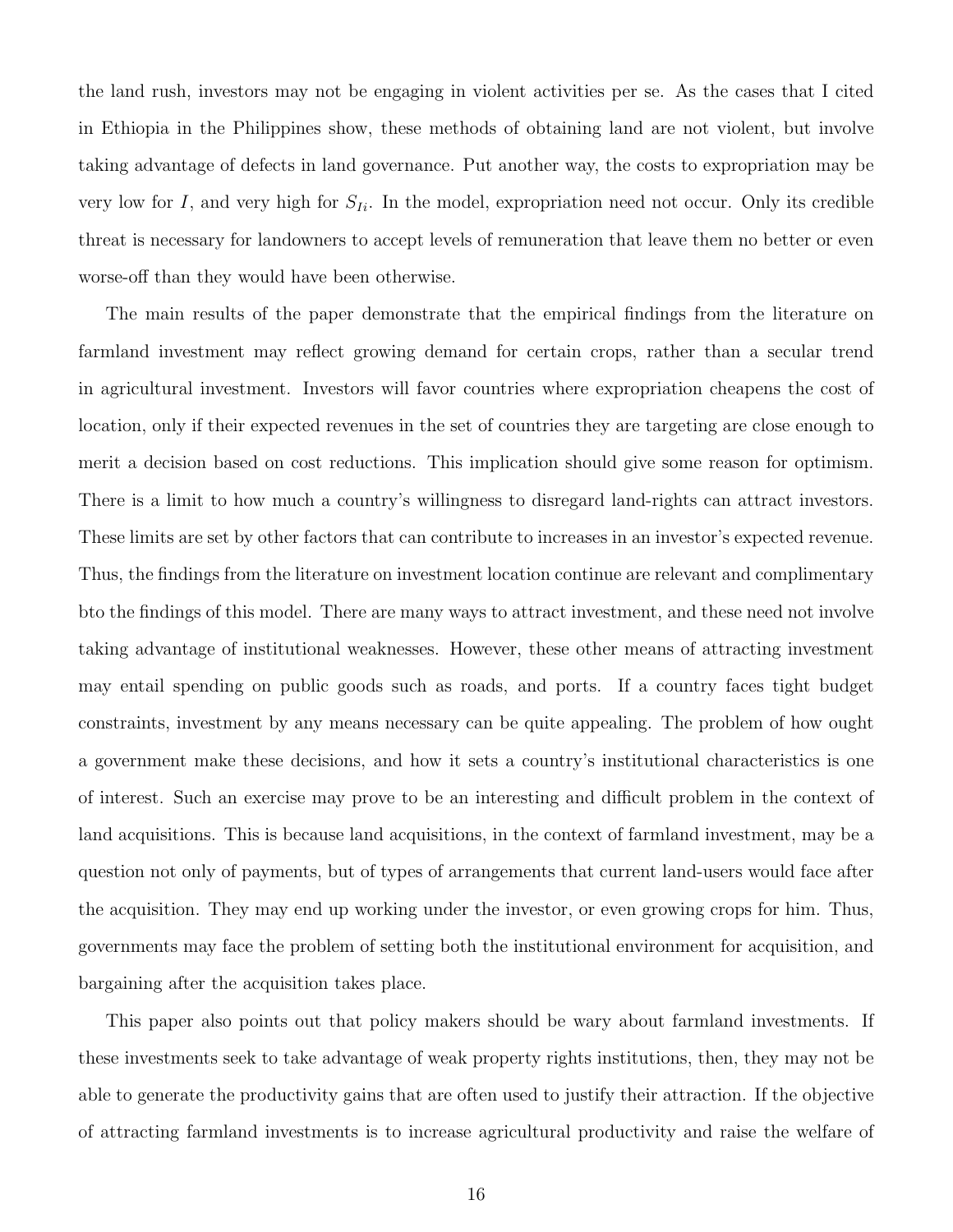the land rush, investors may not be engaging in violent activities per se. As the cases that I cited in Ethiopia in the Philippines show, these methods of obtaining land are not violent, but involve taking advantage of defects in land governance. Put another way, the costs to expropriation may be very low for I, and very high for  $S_{I_i}$ . In the model, expropriation need not occur. Only its credible threat is necessary for landowners to accept levels of remuneration that leave them no better or even worse-off than they would have been otherwise.

The main results of the paper demonstrate that the empirical findings from the literature on farmland investment may reflect growing demand for certain crops, rather than a secular trend in agricultural investment. Investors will favor countries where expropriation cheapens the cost of location, only if their expected revenues in the set of countries they are targeting are close enough to merit a decision based on cost reductions. This implication should give some reason for optimism. There is a limit to how much a country's willingness to disregard land-rights can attract investors. These limits are set by other factors that can contribute to increases in an investor's expected revenue. Thus, the findings from the literature on investment location continue are relevant and complimentary bto the findings of this model. There are many ways to attract investment, and these need not involve taking advantage of institutional weaknesses. However, these other means of attracting investment may entail spending on public goods such as roads, and ports. If a country faces tight budget constraints, investment by any means necessary can be quite appealing. The problem of how ought a government make these decisions, and how it sets a country's institutional characteristics is one of interest. Such an exercise may prove to be an interesting and difficult problem in the context of land acquisitions. This is because land acquisitions, in the context of farmland investment, may be a question not only of payments, but of types of arrangements that current land-users would face after the acquisition. They may end up working under the investor, or even growing crops for him. Thus, governments may face the problem of setting both the institutional environment for acquisition, and bargaining after the acquisition takes place.

This paper also points out that policy makers should be wary about farmland investments. If these investments seek to take advantage of weak property rights institutions, then, they may not be able to generate the productivity gains that are often used to justify their attraction. If the objective of attracting farmland investments is to increase agricultural productivity and raise the welfare of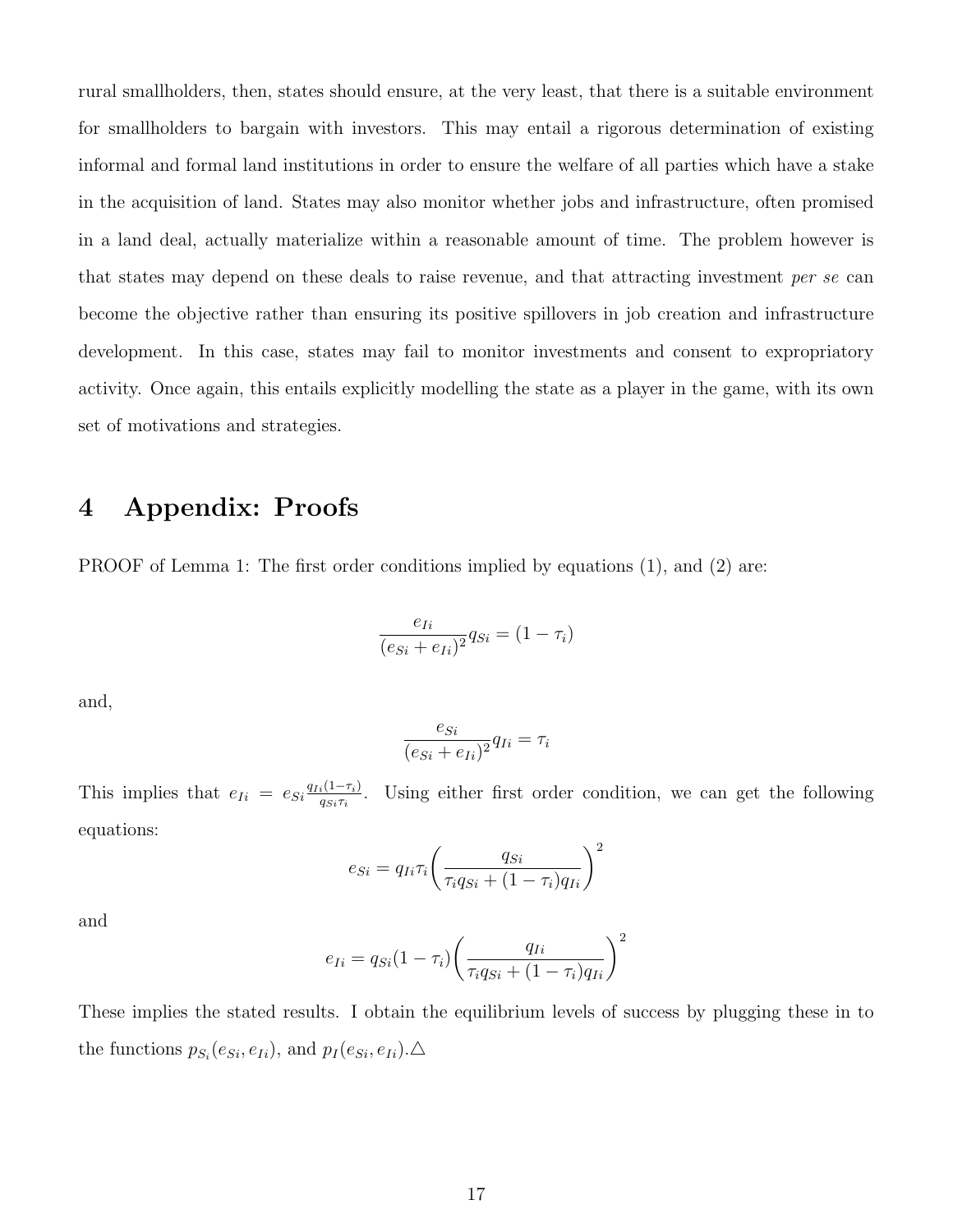rural smallholders, then, states should ensure, at the very least, that there is a suitable environment for smallholders to bargain with investors. This may entail a rigorous determination of existing informal and formal land institutions in order to ensure the welfare of all parties which have a stake in the acquisition of land. States may also monitor whether jobs and infrastructure, often promised in a land deal, actually materialize within a reasonable amount of time. The problem however is that states may depend on these deals to raise revenue, and that attracting investment per se can become the objective rather than ensuring its positive spillovers in job creation and infrastructure development. In this case, states may fail to monitor investments and consent to expropriatory activity. Once again, this entails explicitly modelling the state as a player in the game, with its own set of motivations and strategies.

# 4 Appendix: Proofs

PROOF of Lemma 1: The first order conditions implied by equations (1), and (2) are:

$$
\frac{e_{Ii}}{(e_{Si}+e_{Ii})^2}q_{Si}=(1-\tau_i)
$$

and,

$$
\frac{e_{Si}}{(e_{Si} + e_{Ii})^2} q_{Ii} = \tau_i
$$

This implies that  $e_{Ii} = e_{Si} \frac{q_{Ii}(1-\tau_i)}{q_{Si}\tau_i}$  $\frac{i(1-\tau_i)}{q_{Si}\tau_i}$ . Using either first order condition, we can get the following equations:

$$
e_{Si} = q_{Ii}\tau_i \left(\frac{q_{Si}}{\tau_i q_{Si} + (1 - \tau_i) q_{Ii}}\right)^2
$$

and

$$
e_{Ii} = q_{Si}(1 - \tau_i) \left(\frac{q_{Ii}}{\tau_i q_{Si} + (1 - \tau_i) q_{Ii}}\right)^2
$$

These implies the stated results. I obtain the equilibrium levels of success by plugging these in to the functions  $p_{S_i}(e_{Si}, e_{Ii})$ , and  $p_I(e_{Si}, e_{Ii})$ .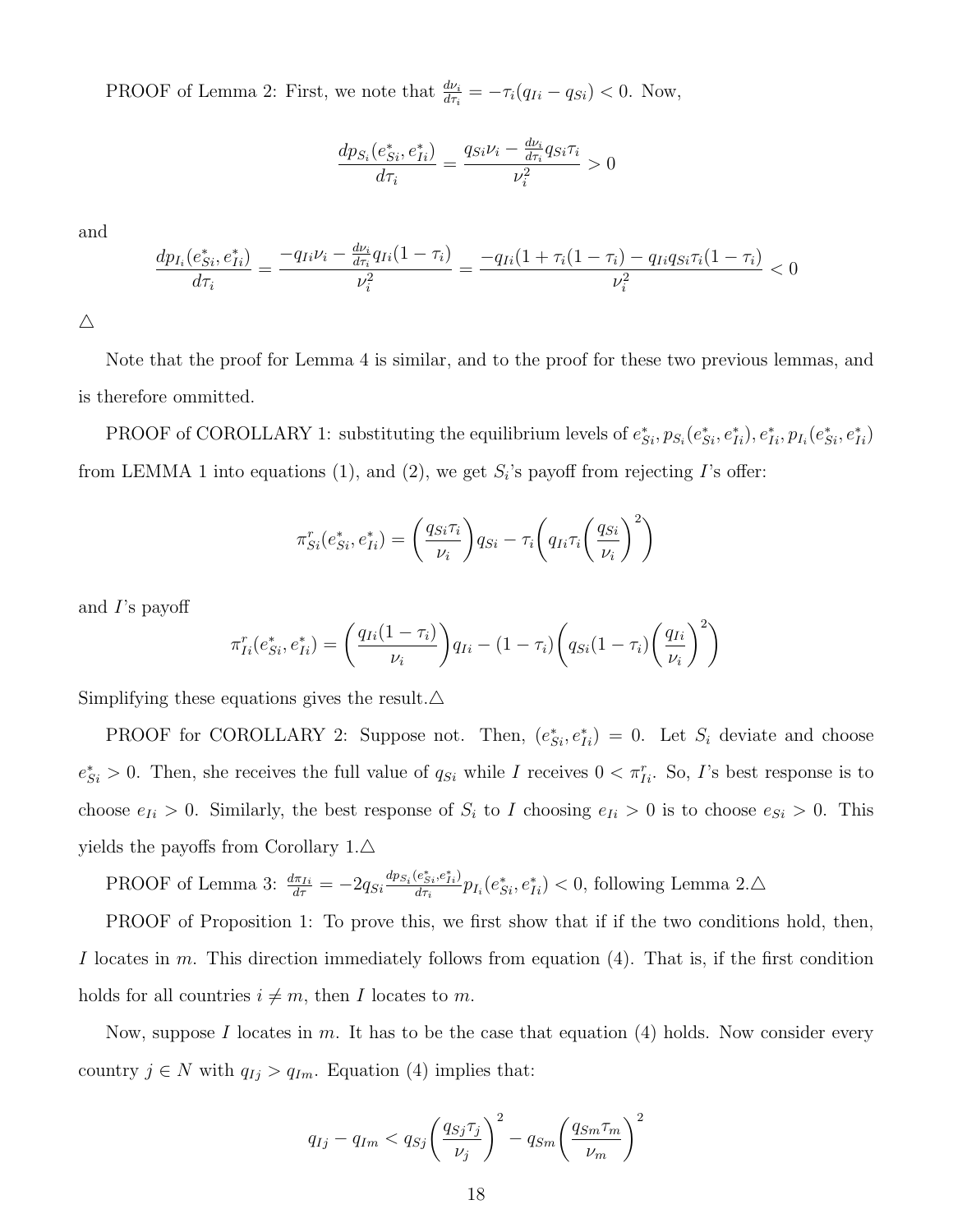PROOF of Lemma 2: First, we note that  $\frac{dv_i}{d\tau_i} = -\tau_i(q_{Ii} - q_{Si}) < 0$ . Now,

$$
\frac{dp_{S_i}(e_{Si}^*, e_{Ii}^*)}{d\tau_i} = \frac{q_{Si}\nu_i - \frac{d\nu_i}{d\tau_i}q_{Si}\tau_i}{\nu_i^2} > 0
$$

and

$$
\frac{dp_{I_i}(e_{Si}^*, e_{Ii}^*)}{d\tau_i} = \frac{-q_{Ii}\nu_i - \frac{d\nu_i}{d\tau_i}q_{Ii}(1-\tau_i)}{\nu_i^2} = \frac{-q_{Ii}(1+\tau_i(1-\tau_i) - q_{Ii}q_{Si}\tau_i(1-\tau_i))}{\nu_i^2} < 0
$$

 $\triangle$ 

Note that the proof for Lemma 4 is similar, and to the proof for these two previous lemmas, and is therefore ommitted.

PROOF of COROLLARY 1: substituting the equilibrium levels of  $e_{Si}^*, p_{S_i}(e_{Si}^*, e_{Ii}^*), e_{Ii}^*, p_{I_i}(e_{Si}^*, e_{Ii}^*)$ from LEMMA 1 into equations (1), and (2), we get  $S_i$ 's payoff from rejecting  $I$ 's offer:

$$
\pi_{Si}^r(e_{Si}^*, e_{Ii}^*) = \left(\frac{q_{Si}\tau_i}{\nu_i}\right) q_{Si} - \tau_i \left(q_{Ii}\tau_i \left(\frac{q_{Si}}{\nu_i}\right)^2\right)
$$

and I's payoff

$$
\pi_{Ii}^r(e_{Si}^*, e_{Ii}^*) = \left(\frac{q_{Ii}(1-\tau_i)}{\nu_i}\right) q_{Ii} - (1-\tau_i) \left(q_{Si}(1-\tau_i) \left(\frac{q_{Ii}}{\nu_i}\right)^2\right)
$$

Simplifying these equations gives the result. $\Delta$ 

PROOF for COROLLARY 2: Suppose not. Then,  $(e_{Si}^*, e_{Ii}^*) = 0$ . Let  $S_i$  deviate and choose  $e_{Si}^* > 0$ . Then, she receives the full value of  $q_{Si}$  while I receives  $0 < \pi_{I_i}^r$ . So, I's best response is to choose  $e_{I_i} > 0$ . Similarly, the best response of  $S_i$  to I choosing  $e_{I_i} > 0$  is to choose  $e_{Si} > 0$ . This yields the payoffs from Corollary  $1.\Delta$ 

PROOF of Lemma 3: 
$$
\frac{d\pi_{Ii}}{d\tau} = -2q_{Si}\frac{dp_{S_i}(e_{Si}^*,e_{Ii}^*)}{d\tau_i}p_{I_i}(e_{Si}^*,e_{Ii}^*) < 0
$$
, following Lemma 2.  $\triangle$ 

PROOF of Proposition 1: To prove this, we first show that if if the two conditions hold, then, I locates in m. This direction immediately follows from equation  $(4)$ . That is, if the first condition holds for all countries  $i \neq m$ , then I locates to m.

Now, suppose I locates in m. It has to be the case that equation  $(4)$  holds. Now consider every country  $j \in N$  with  $q_{Ij} > q_{Im}$ . Equation (4) implies that:

$$
q_{Ij} - q_{Im} < q_{Sj} \left(\frac{q_{Sj} \tau_j}{\nu_j}\right)^2 - q_{Sm} \left(\frac{q_{Sm} \tau_m}{\nu_m}\right)^2
$$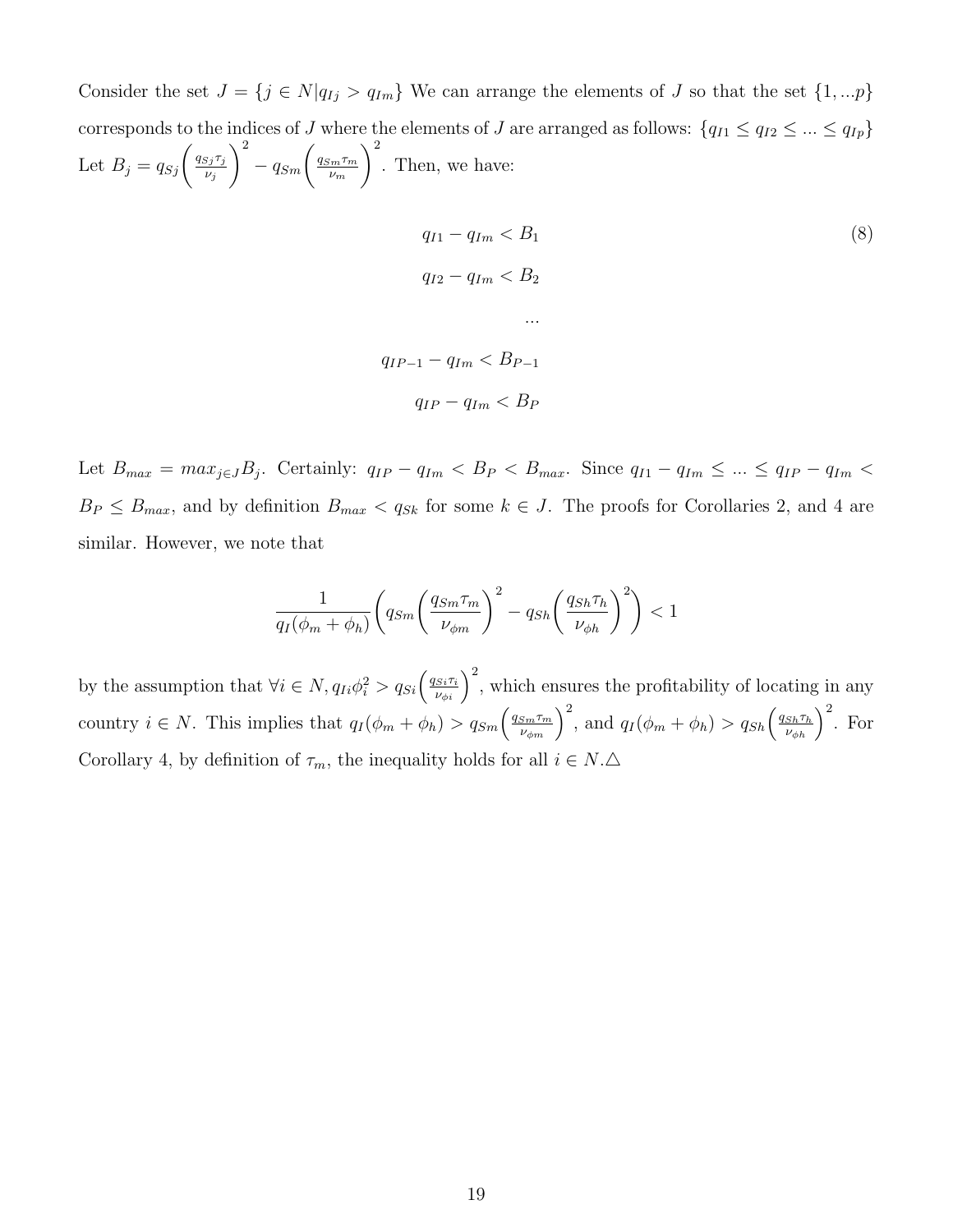Consider the set  $J = \{j \in N | q_{Ij} > q_{Im}\}\$ We can arrange the elements of J so that the set  $\{1,...p\}\$ corresponds to the indices of J where the elements of J are arranged as follows:  $\{q_{I1} \leq q_{I2} \leq ... \leq q_{Ip}\}$ Let  $B_j = q_{Sj} \left( \frac{q_{Sj} \tau_j}{\nu_i} \right)$  $\nu_j$  $\bigg)^2 - q_{Sm} \bigg( \frac{q_{Sm}\tau_m}{\nu_m}$ νm  $\setminus^2$ . Then, we have:

$$
q_{I1} - q_{Im} < B_1 \tag{8}
$$
\n
$$
q_{I2} - q_{Im} < B_2 \tag{8}
$$
\n
$$
\dots
$$
\n
$$
q_{IP-1} - q_{Im} < B_{P-1} \tag{8}
$$
\n
$$
q_{IP} - q_{Im} < B_P
$$

Let  $B_{max} = max_{j \in J} B_j$ . Certainly:  $q_{IP} - q_{Im} < B_P < B_{max}$ . Since  $q_{I1} - q_{Im} \leq ... \leq q_{IP} - q_{Im} <$  $B_P \leq B_{max}$ , and by definition  $B_{max} < q_{Sk}$  for some  $k \in J$ . The proofs for Corollaries 2, and 4 are similar. However, we note that

$$
\frac{1}{q_I(\phi_m + \phi_h)} \left( q_{Sm} \left( \frac{q_{Sm} \tau_m}{\nu_{\phi m}} \right)^2 - q_{Sh} \left( \frac{q_{Sh} \tau_h}{\nu_{\phi h}} \right)^2 \right) < 1
$$

by the assumption that  $\forall i \in N$ ,  $q_{Ii}\phi_i^2 > q_{Si} \left(\frac{q_{Si}\tau_i}{\nu_{\phi i}}\right)^2$ , which ensures the profitability of locating in any country  $i \in N$ . This implies that  $q_I(\phi_m + \phi_h) > q_{Sm} \left( \frac{q_{Sm}\tau_m}{\nu_{\phi m}} \right)^2$ , and  $q_I(\phi_m + \phi_h) > q_{Sh} \left( \frac{q_{Sh}\tau_h}{\nu_{\phi h}} \right)^2$ . For Corollary 4, by definition of  $\tau_m$ , the inequality holds for all  $i \in N.\Delta$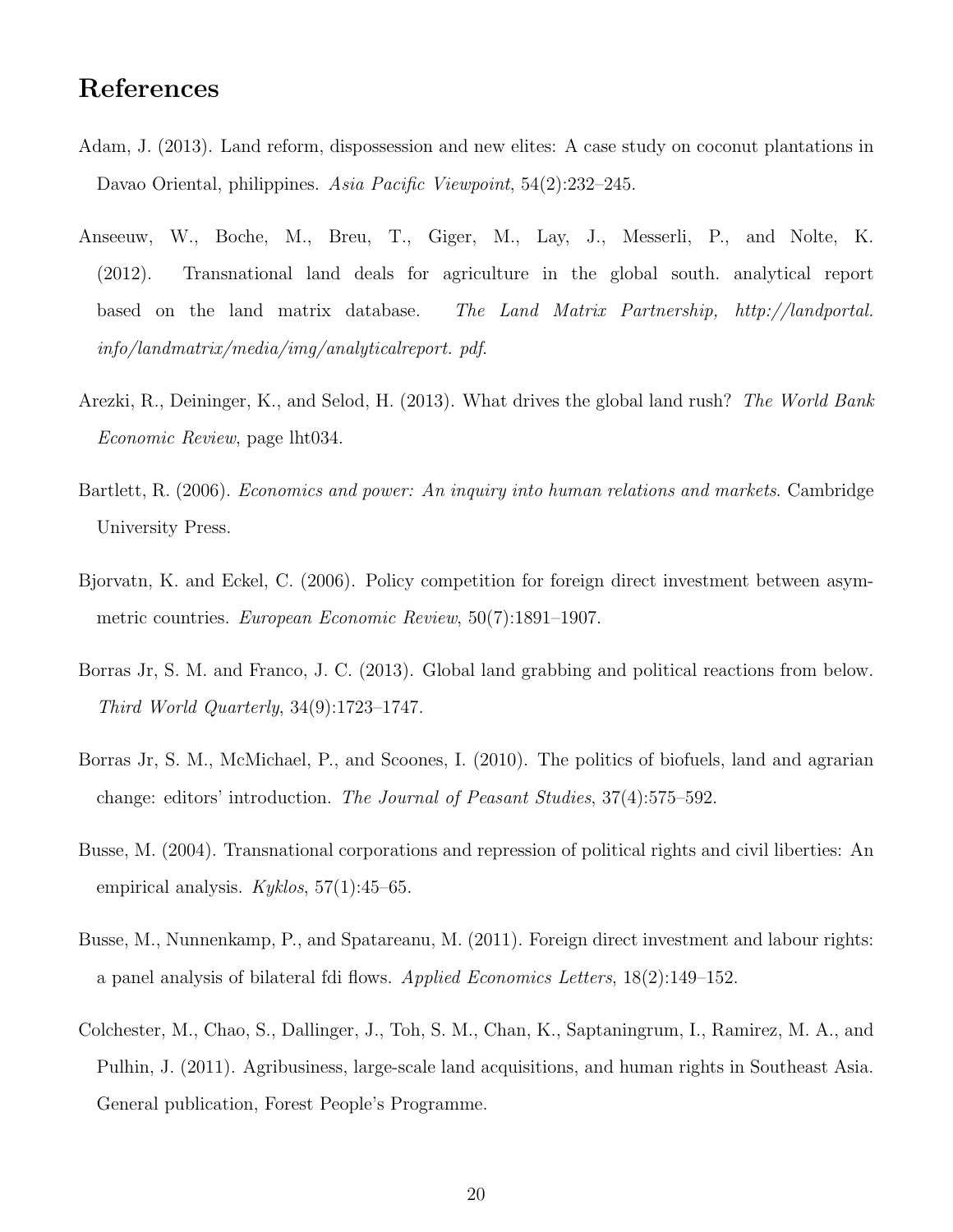# References

- Adam, J. (2013). Land reform, dispossession and new elites: A case study on coconut plantations in Davao Oriental, philippines. Asia Pacific Viewpoint, 54(2):232–245.
- Anseeuw, W., Boche, M., Breu, T., Giger, M., Lay, J., Messerli, P., and Nolte, K. (2012). Transnational land deals for agriculture in the global south. analytical report based on the land matrix database. The Land Matrix Partnership, http://landportal. info/landmatrix/media/img/analyticalreport. pdf.
- Arezki, R., Deininger, K., and Selod, H. (2013). What drives the global land rush? The World Bank Economic Review, page lht034.
- Bartlett, R. (2006). Economics and power: An inquiry into human relations and markets. Cambridge University Press.
- Bjorvatn, K. and Eckel, C. (2006). Policy competition for foreign direct investment between asymmetric countries. European Economic Review, 50(7):1891–1907.
- Borras Jr, S. M. and Franco, J. C. (2013). Global land grabbing and political reactions from below. Third World Quarterly, 34(9):1723–1747.
- Borras Jr, S. M., McMichael, P., and Scoones, I. (2010). The politics of biofuels, land and agrarian change: editors' introduction. The Journal of Peasant Studies, 37(4):575–592.
- Busse, M. (2004). Transnational corporations and repression of political rights and civil liberties: An empirical analysis.  $Kyklos, 57(1):45–65$ .
- Busse, M., Nunnenkamp, P., and Spatareanu, M. (2011). Foreign direct investment and labour rights: a panel analysis of bilateral fdi flows. Applied Economics Letters, 18(2):149–152.
- Colchester, M., Chao, S., Dallinger, J., Toh, S. M., Chan, K., Saptaningrum, I., Ramirez, M. A., and Pulhin, J. (2011). Agribusiness, large-scale land acquisitions, and human rights in Southeast Asia. General publication, Forest People's Programme.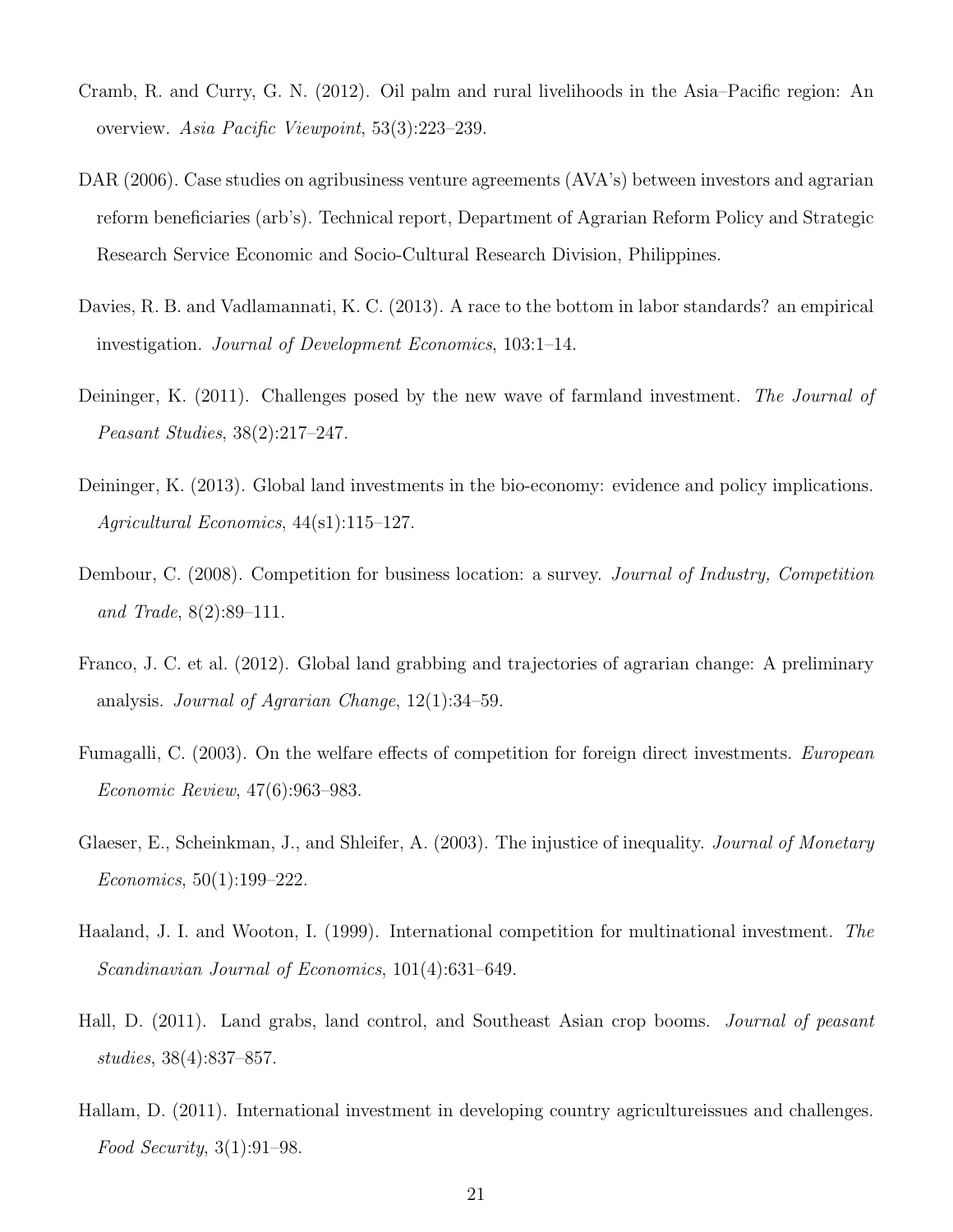- Cramb, R. and Curry, G. N. (2012). Oil palm and rural livelihoods in the Asia–Pacific region: An overview. Asia Pacific Viewpoint, 53(3):223–239.
- DAR (2006). Case studies on agribusiness venture agreements (AVA's) between investors and agrarian reform beneficiaries (arb's). Technical report, Department of Agrarian Reform Policy and Strategic Research Service Economic and Socio-Cultural Research Division, Philippines.
- Davies, R. B. and Vadlamannati, K. C. (2013). A race to the bottom in labor standards? an empirical investigation. Journal of Development Economics, 103:1–14.
- Deininger, K. (2011). Challenges posed by the new wave of farmland investment. The Journal of Peasant Studies, 38(2):217–247.
- Deininger, K. (2013). Global land investments in the bio-economy: evidence and policy implications. Agricultural Economics, 44(s1):115–127.
- Dembour, C. (2008). Competition for business location: a survey. Journal of Industry, Competition and Trade, 8(2):89–111.
- Franco, J. C. et al. (2012). Global land grabbing and trajectories of agrarian change: A preliminary analysis. Journal of Agrarian Change, 12(1):34–59.
- Fumagalli, C. (2003). On the welfare effects of competition for foreign direct investments. European Economic Review, 47(6):963–983.
- Glaeser, E., Scheinkman, J., and Shleifer, A. (2003). The injustice of inequality. *Journal of Monetary* Economics, 50(1):199–222.
- Haaland, J. I. and Wooton, I. (1999). International competition for multinational investment. The Scandinavian Journal of Economics, 101(4):631–649.
- Hall, D. (2011). Land grabs, land control, and Southeast Asian crop booms. *Journal of peasant* studies, 38(4):837–857.
- Hallam, D. (2011). International investment in developing country agricultureissues and challenges. Food Security, 3(1):91–98.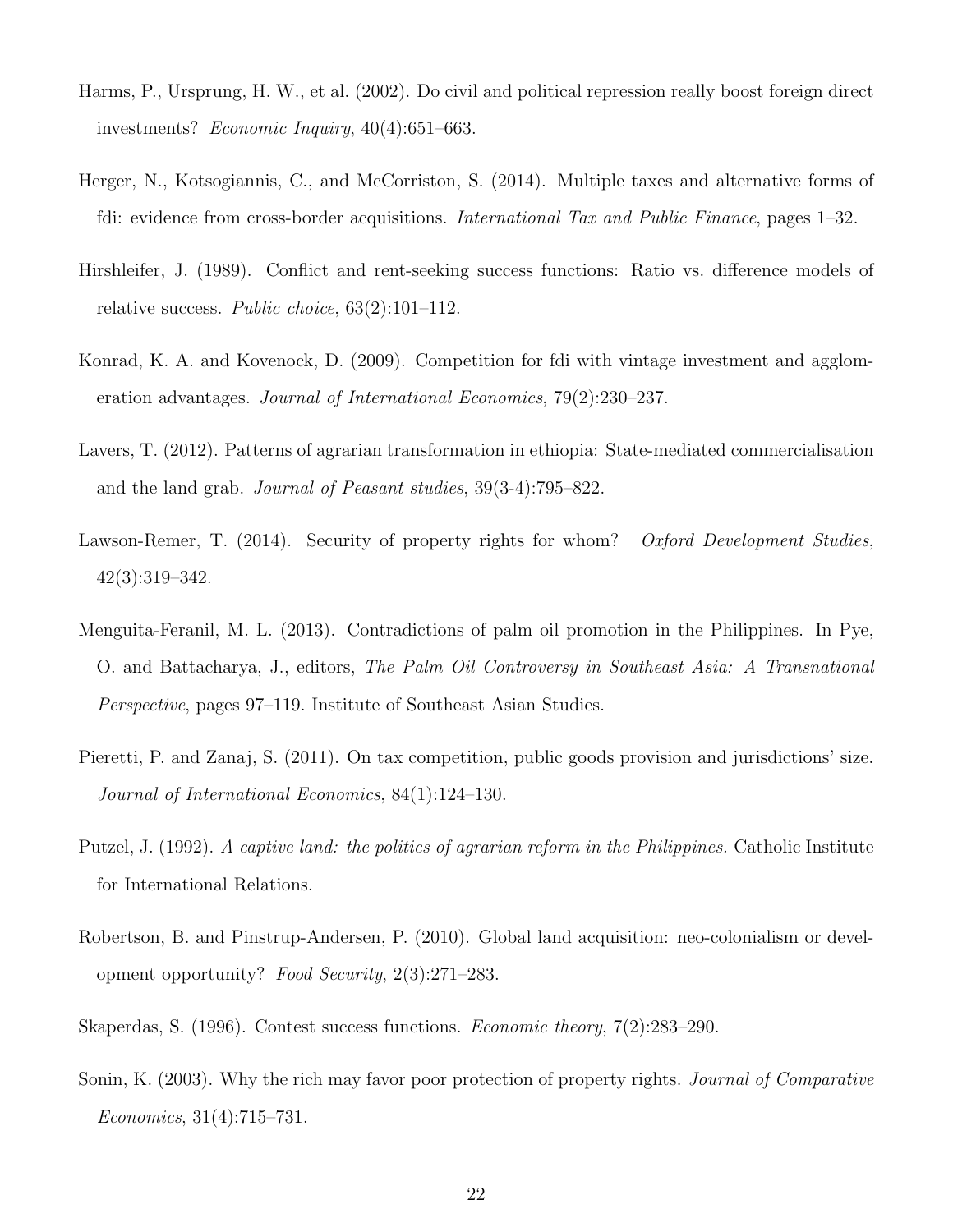- Harms, P., Ursprung, H. W., et al. (2002). Do civil and political repression really boost foreign direct investments? Economic Inquiry, 40(4):651–663.
- Herger, N., Kotsogiannis, C., and McCorriston, S. (2014). Multiple taxes and alternative forms of fdi: evidence from cross-border acquisitions. International Tax and Public Finance, pages 1–32.
- Hirshleifer, J. (1989). Conflict and rent-seeking success functions: Ratio vs. difference models of relative success. Public choice, 63(2):101–112.
- Konrad, K. A. and Kovenock, D. (2009). Competition for fdi with vintage investment and agglomeration advantages. Journal of International Economics, 79(2):230–237.
- Lavers, T. (2012). Patterns of agrarian transformation in ethiopia: State-mediated commercialisation and the land grab. Journal of Peasant studies, 39(3-4):795–822.
- Lawson-Remer, T. (2014). Security of property rights for whom? Oxford Development Studies, 42(3):319–342.
- Menguita-Feranil, M. L. (2013). Contradictions of palm oil promotion in the Philippines. In Pye, O. and Battacharya, J., editors, The Palm Oil Controversy in Southeast Asia: A Transnational Perspective, pages 97–119. Institute of Southeast Asian Studies.
- Pieretti, P. and Zanaj, S. (2011). On tax competition, public goods provision and jurisdictions' size. Journal of International Economics, 84(1):124–130.
- Putzel, J. (1992). A captive land: the politics of agrarian reform in the Philippines. Catholic Institute for International Relations.
- Robertson, B. and Pinstrup-Andersen, P. (2010). Global land acquisition: neo-colonialism or development opportunity? Food Security, 2(3):271–283.
- Skaperdas, S. (1996). Contest success functions. Economic theory, 7(2):283–290.
- Sonin, K. (2003). Why the rich may favor poor protection of property rights. Journal of Comparative Economics, 31(4):715–731.